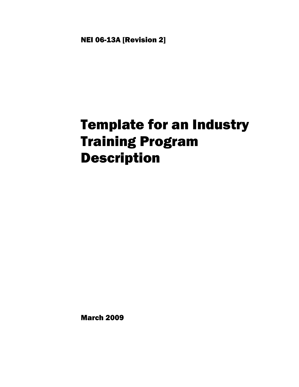NEI 06-13A [Revision 2]

# Template for an Industry Training Program Description

March 2009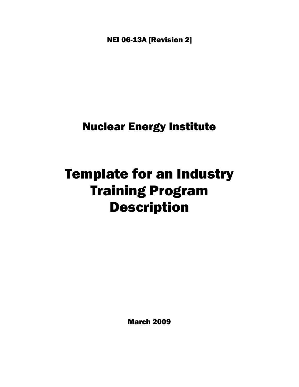NEI 06-13A [Revision 2]

Nuclear Energy Institute

## Template for an Industry Training Program Description

March 2009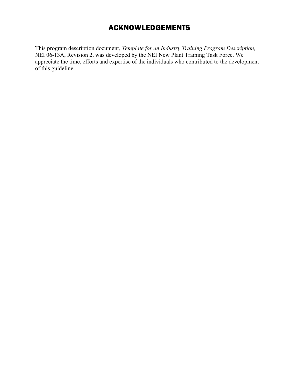## ACKNOWLEDGEMENTS

This program description document, *Template for an Industry Training Program Description,*  NEI 06-13A, Revision 2, was developed by the NEI New Plant Training Task Force. We appreciate the time, efforts and expertise of the individuals who contributed to the development of this guideline.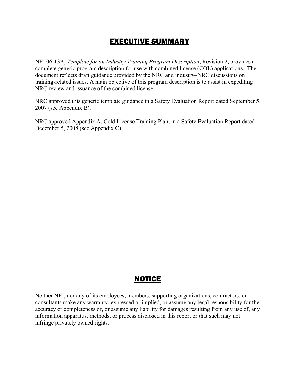## EXECUTIVE SUMMARY

NEI 06-13A, *Template for an Industry Training Program Description*, Revision 2, provides a complete generic program description for use with combined license (COL) applications. The document reflects draft guidance provided by the NRC and industry–NRC discussions on training-related issues. A main objective of this program description is to assist in expediting NRC review and issuance of the combined license.

NRC approved this generic template guidance in a Safety Evaluation Report dated September 5, 2007 (see Appendix B).

NRC approved Appendix A, Cold License Training Plan, in a Safety Evaluation Report dated December 5, 2008 (see Appendix C).

## **NOTICE**

Neither NEI, nor any of its employees, members, supporting organizations, contractors, or consultants make any warranty, expressed or implied, or assume any legal responsibility for the accuracy or completeness of, or assume any liability for damages resulting from any use of, any information apparatus, methods, or process disclosed in this report or that such may not infringe privately owned rights.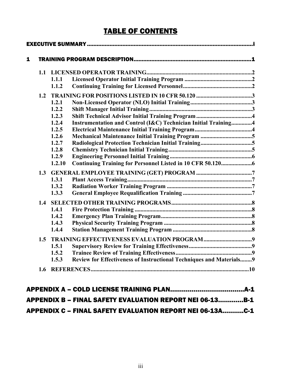## TABLE OF CONTENTS

| 1 |     |        |                                                                      |  |
|---|-----|--------|----------------------------------------------------------------------|--|
|   | 1.1 |        |                                                                      |  |
|   |     | 1.1.1  |                                                                      |  |
|   |     | 1.1.2  |                                                                      |  |
|   | 1.2 |        |                                                                      |  |
|   |     | 1.2.1  |                                                                      |  |
|   |     | 1.2.2  |                                                                      |  |
|   |     | 1.2.3  |                                                                      |  |
|   |     | 1.2.4  | Instrumentation and Control (I&C) Technician Initial Training4       |  |
|   |     | 1.2.5  |                                                                      |  |
|   |     | 1.2.6  |                                                                      |  |
|   |     | 1.2.7  |                                                                      |  |
|   |     | 1.2.8  |                                                                      |  |
|   |     | 1.2.9  |                                                                      |  |
|   |     | 1.2.10 |                                                                      |  |
|   | 1.3 |        |                                                                      |  |
|   |     | 1.3.1  |                                                                      |  |
|   |     | 1.3.2  |                                                                      |  |
|   |     | 1.3.3  |                                                                      |  |
|   | 1.4 |        |                                                                      |  |
|   |     | 1.4.1  |                                                                      |  |
|   |     | 1.4.2  |                                                                      |  |
|   |     | 1.4.3  |                                                                      |  |
|   |     | 1.4.4  |                                                                      |  |
|   | 1.5 |        |                                                                      |  |
|   |     | 1.5.1  |                                                                      |  |
|   |     | 1.5.2  |                                                                      |  |
|   |     | 1.5.3  | Review for Effectiveness of Instructional Techniques and Materials 9 |  |
|   |     |        |                                                                      |  |

| <b>APPENDIX B - FINAL SAFETY EVALUATION REPORT NEI 06-13B-1</b>  |  |
|------------------------------------------------------------------|--|
| <b>APPENDIX C - FINAL SAFETY EVALUATION REPORT NEI 06-13AC-1</b> |  |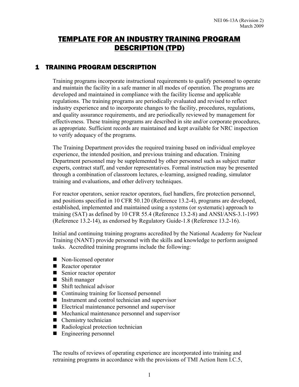## TEMPLATE FOR AN INDUSTRY TRAINING PROGRAM DESCRIPTION (TPD)

#### 1 TRAINING PROGRAM DESCRIPTION

Training programs incorporate instructional requirements to qualify personnel to operate and maintain the facility in a safe manner in all modes of operation. The programs are developed and maintained in compliance with the facility license and applicable regulations. The training programs are periodically evaluated and revised to reflect industry experience and to incorporate changes to the facility, procedures, regulations, and quality assurance requirements, and are periodically reviewed by management for effectiveness. These training programs are described in site and/or corporate procedures, as appropriate. Sufficient records are maintained and kept available for NRC inspection to verify adequacy of the programs.

The Training Department provides the required training based on individual employee experience, the intended position, and previous training and education. Training Department personnel may be supplemented by other personnel such as subject matter experts, contract staff, and vendor representatives. Formal instruction may be presented through a combination of classroom lectures, e-learning, assigned reading, simulator training and evaluations, and other delivery techniques.

For reactor operators, senior reactor operators, fuel handlers, fire protection personnel, and positions specified in 10 CFR 50.120 (Reference 13.2-4), programs are developed, established, implemented and maintained using a systems (or systematic) approach to training (SAT) as defined by 10 CFR 55.4 (Reference 13.2-8) and ANSI/ANS-3.1-1993 (Reference 13.2-14), as endorsed by Regulatory Guide-1.8 (Reference 13.2-16).

Initial and continuing training programs accredited by the National Academy for Nuclear Training (NANT) provide personnel with the skills and knowledge to perform assigned tasks. Accredited training programs include the following:

- Non-licensed operator
- Reactor operator
- Senior reactor operator
- **Shift manager**
- Shift technical advisor
- Continuing training for licensed personnel
- Instrument and control technician and supervisor
- Electrical maintenance personnel and supervisor
- $\blacksquare$  Mechanical maintenance personnel and supervisor
- Chemistry technician
- Radiological protection technician
- Engineering personnel

The results of reviews of operating experience are incorporated into training and retraining programs in accordance with the provisions of TMI Action Item I.C.5,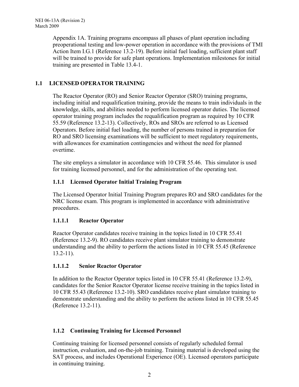Appendix 1A. Training programs encompass all phases of plant operation including preoperational testing and low-power operation in accordance with the provisions of TMI Action Item I.G.1 (Reference 13.2-19). Before initial fuel loading, sufficient plant staff will be trained to provide for safe plant operations. Implementation milestones for initial training are presented in Table 13.4-1.

#### **1.1 LICENSED OPERATOR TRAINING**

The Reactor Operator (RO) and Senior Reactor Operator (SRO) training programs, including initial and requalification training, provide the means to train individuals in the knowledge, skills, and abilities needed to perform licensed operator duties. The licensed operator training program includes the requalification program as required by 10 CFR 55.59 (Reference 13.2-13). Collectively, ROs and SROs are referred to as Licensed Operators. Before initial fuel loading, the number of persons trained in preparation for RO and SRO licensing examinations will be sufficient to meet regulatory requirements, with allowances for examination contingencies and without the need for planned overtime.

The site employs a simulator in accordance with 10 CFR 55.46. This simulator is used for training licensed personnel, and for the administration of the operating test.

#### **1.1.1 Licensed Operator Initial Training Program**

The Licensed Operator Initial Training Program prepares RO and SRO candidates for the NRC license exam. This program is implemented in accordance with administrative procedures.

#### **1.1.1.1 Reactor Operator**

Reactor Operator candidates receive training in the topics listed in 10 CFR 55.41 (Reference 13.2-9). RO candidates receive plant simulator training to demonstrate understanding and the ability to perform the actions listed in 10 CFR 55.45 (Reference 13.2-11).

#### **1.1.1.2 Senior Reactor Operator**

In addition to the Reactor Operator topics listed in 10 CFR 55.41 (Reference 13.2-9), candidates for the Senior Reactor Operator license receive training in the topics listed in 10 CFR 55.43 (Reference 13.2-10). SRO candidates receive plant simulator training to demonstrate understanding and the ability to perform the actions listed in 10 CFR 55.45 (Reference 13.2-11).

#### **1.1.2 Continuing Training for Licensed Personnel**

Continuing training for licensed personnel consists of regularly scheduled formal instruction, evaluation, and on-the-job training. Training material is developed using the SAT process, and includes Operational Experience (OE). Licensed operators participate in continuing training.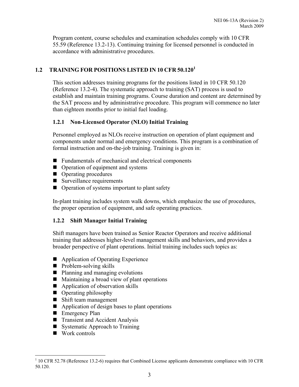Program content, course schedules and examination schedules comply with 10 CFR 55.59 (Reference 13.2-13). Continuing training for licensed personnel is conducted in accordance with administrative procedures.

#### **1.2 TRAINING FOR POSITIONS LISTED IN 10 CFR 50.120<sup>1</sup>**

This section addresses training programs for the positions listed in 10 CFR 50.120 (Reference 13.2-4). The systematic approach to training (SAT) process is used to establish and maintain training programs. Course duration and content are determined by the SAT process and by administrative procedure. This program will commence no later than eighteen months prior to initial fuel loading.

#### **1.2.1 Non-Licensed Operator (NLO) Initial Training**

Personnel employed as NLOs receive instruction on operation of plant equipment and components under normal and emergency conditions. This program is a combination of formal instruction and on-the-job training. Training is given in:

- Fundamentals of mechanical and electrical components
- Operation of equipment and systems
- Operating procedures
- Surveillance requirements
- $\Box$  Operation of systems important to plant safety

In-plant training includes system walk downs, which emphasize the use of procedures, the proper operation of equipment, and safe operating practices.

#### **1.2.2 Shift Manager Initial Training**

Shift managers have been trained as Senior Reactor Operators and receive additional training that addresses higher-level management skills and behaviors, and provides a broader perspective of plant operations. Initial training includes such topics as:

- Application of Operating Experience
- $\blacksquare$  Problem-solving skills
- Planning and managing evolutions
- $\blacksquare$  Maintaining a broad view of plant operations
- Application of observation skills
- Operating philosophy
- Shift team management
- Application of design bases to plant operations
- **Emergency Plan**
- Transient and Accident Analysis
- Systematic Approach to Training
- Work controls

 $\overline{a}$ 

<sup>&</sup>lt;sup>1</sup> 10 CFR 52.78 (Reference 13.2-6) requires that Combined License applicants demonstrate compliance with 10 CFR 50.120.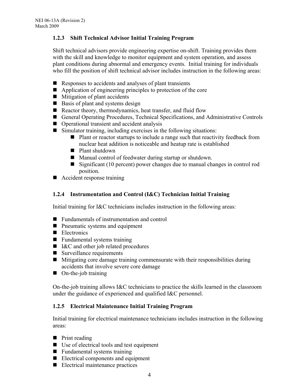#### **1.2.3 Shift Technical Advisor Initial Training Program**

Shift technical advisors provide engineering expertise on-shift. Training provides them with the skill and knowledge to monitor equipment and system operation, and assess plant conditions during abnormal and emergency events. Initial training for individuals who fill the position of shift technical advisor includes instruction in the following areas:

- $\blacksquare$  Responses to accidents and analyses of plant transients
- Application of engineering principles to protection of the core
- $\blacksquare$  Mitigation of plant accidents
- Basis of plant and systems design
- Reactor theory, thermodynamics, heat transfer, and fluid flow
- General Operating Procedures, Technical Specifications, and Administrative Controls
- Operational transient and accident analysis
- $\blacksquare$  Simulator training, including exercises in the following situations:
	- Plant or reactor startups to include a range such that reactivity feedback from nuclear heat addition is noticeable and heatup rate is established
	- **Plant shutdown**
	- Manual control of feedwater during startup or shutdown.
	- Significant (10 percent) power changes due to manual changes in control rod position.
- Accident response training

#### **1.2.4 Instrumentation and Control (I&C) Technician Initial Training**

Initial training for I&C technicians includes instruction in the following areas:

- Fundamentals of instrumentation and control
- **P**neumatic systems and equipment
- Electronics
- **Fundamental systems training**
- I&C and other job related procedures
- Surveillance requirements
- $\blacksquare$  Mitigating core damage training commensurate with their responsibilities during accidents that involve severe core damage
- On-the-job training

On-the-job training allows I&C technicians to practice the skills learned in the classroom under the guidance of experienced and qualified I&C personnel.

#### **1.2.5 Electrical Maintenance Initial Training Program**

Initial training for electrical maintenance technicians includes instruction in the following areas:

- **Print reading**
- Use of electrical tools and test equipment
- $\blacksquare$  Fundamental systems training
- Electrical components and equipment
- Electrical maintenance practices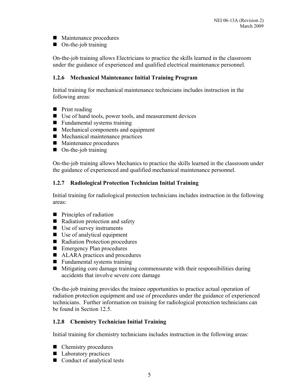- Maintenance procedures
- On-the-job training

On-the-job training allows Electricians to practice the skills learned in the classroom under the guidance of experienced and qualified electrical maintenance personnel.

#### **1.2.6 Mechanical Maintenance Initial Training Program**

Initial training for mechanical maintenance technicians includes instruction in the following areas:

- **Print reading**
- Use of hand tools, power tools, and measurement devices
- $\blacksquare$  Fundamental systems training
- Mechanical components and equipment
- $\blacksquare$  Mechanical maintenance practices
- Maintenance procedures
- On-the-job training

On-the-job training allows Mechanics to practice the skills learned in the classroom under the guidance of experienced and qualified mechanical maintenance personnel.

#### **1.2.7 Radiological Protection Technician Initial Training**

Initial training for radiological protection technicians includes instruction in the following areas:

- $\blacksquare$  Principles of radiation
- Radiation protection and safety
- $\blacksquare$  Use of survey instruments
- Use of analytical equipment
- Radiation Protection procedures
- **Emergency Plan procedures**
- ALARA practices and procedures
- $\blacksquare$  Fundamental systems training
- Mitigating core damage training commensurate with their responsibilities during accidents that involve severe core damage

On-the-job training provides the trainee opportunities to practice actual operation of radiation protection equipment and use of procedures under the guidance of experienced technicians. Further information on training for radiological protection technicians can be found in Section 12.5.

#### **1.2.8 Chemistry Technician Initial Training**

Initial training for chemistry technicians includes instruction in the following areas:

- Chemistry procedures
- Laboratory practices
- Conduct of analytical tests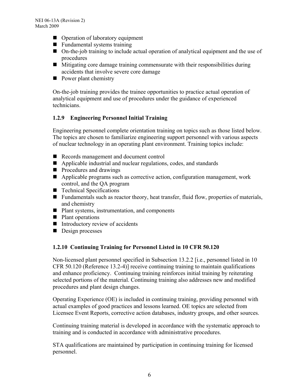- Operation of laboratory equipment
- **Fundamental systems training**
- On-the-job training to include actual operation of analytical equipment and the use of procedures
- $\blacksquare$  Mitigating core damage training commensurate with their responsibilities during accidents that involve severe core damage
- $\blacksquare$  Power plant chemistry

On-the-job training provides the trainee opportunities to practice actual operation of analytical equipment and use of procedures under the guidance of experienced technicians.

#### **1.2.9 Engineering Personnel Initial Training**

Engineering personnel complete orientation training on topics such as those listed below. The topics are chosen to familiarize engineering support personnel with various aspects of nuclear technology in an operating plant environment. Training topics include:

- Records management and document control
- Applicable industrial and nuclear regulations, codes, and standards
- **Procedures and drawings**
- Applicable programs such as corrective action, configuration management, work control, and the QA program
- **Technical Specifications**
- Fundamentals such as reactor theory, heat transfer, fluid flow, properties of materials, and chemistry
- Plant systems, instrumentation, and components
- $\blacksquare$  Plant operations
- $\blacksquare$  Introductory review of accidents
- Design processes

#### **1.2.10 Continuing Training for Personnel Listed in 10 CFR 50.120**

Non-licensed plant personnel specified in Subsection 13.2.2 [i.e., personnel listed in 10 CFR 50.120 (Reference 13.2-4)] receive continuing training to maintain qualifications and enhance proficiency. Continuing training reinforces initial training by reiterating selected portions of the material. Continuing training also addresses new and modified procedures and plant design changes.

Operating Experience (OE) is included in continuing training, providing personnel with actual examples of good practices and lessons learned. OE topics are selected from Licensee Event Reports, corrective action databases, industry groups, and other sources.

Continuing training material is developed in accordance with the systematic approach to training and is conducted in accordance with administrative procedures.

STA qualifications are maintained by participation in continuing training for licensed personnel.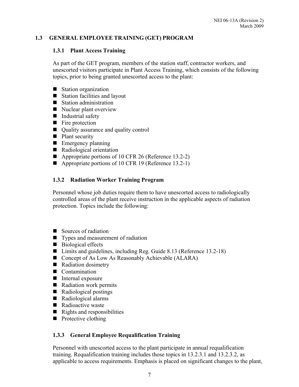#### **1.3 GENERAL EMPLOYEE TRAINING (GET) PROGRAM**

#### **1.3.1 Plant Access Training**

As part of the GET program, members of the station staff, contractor workers, and unescorted visitors participate in Plant Access Training, which consists of the following topics, prior to being granted unescorted access to the plant:

- Station organization
- Station facilities and layout
- Station administration
- Nuclear plant overview
- Industrial safety
- $\blacksquare$  Fire protection
- Quality assurance and quality control
- Plant security
- **Emergency planning**
- Radiological orientation
- Appropriate portions of 10 CFR 26 (Reference 13.2-2)
- Appropriate portions of 10 CFR 19 (Reference 13.2-1)

#### **1.3.2 Radiation Worker Training Program**

Personnel whose job duties require them to have unescorted access to radiologically controlled areas of the plant receive instruction in the applicable aspects of radiation protection. Topics include the following:

- Sources of radiation
- Types and measurement of radiation
- Biological effects
- Limits and guidelines, including Reg. Guide 8.13 (Reference 13.2-18)
- Concept of As Low As Reasonably Achievable (ALARA)
- Radiation dosimetry
- Contamination
- Internal exposure
- Radiation work permits
- Radiological postings
- Radiological alarms
- Radioactive waste
- $\blacksquare$  Rights and responsibilities
- **Protective clothing**

#### **1.3.3 General Employee Requalification Training**

Personnel with unescorted access to the plant participate in annual requalification training. Requalification training includes those topics in 13.2.3.1 and 13.2.3.2, as applicable to access requirements. Emphasis is placed on significant changes to the plant,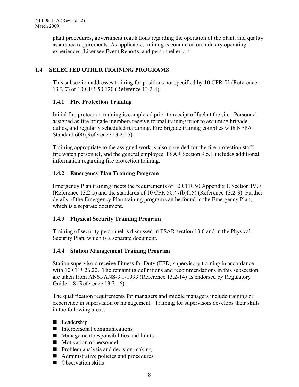plant procedures, government regulations regarding the operation of the plant, and quality assurance requirements. As applicable, training is conducted on industry operating experiences, Licensee Event Reports, and personnel errors.

#### **1.4 SELECTED OTHER TRAINING PROGRAMS**

This subsection addresses training for positions not specified by 10 CFR 55 (Reference 13.2-7) or 10 CFR 50.120 (Reference 13.2-4).

#### **1.4.1 Fire Protection Training**

Initial fire protection training is completed prior to receipt of fuel at the site. Personnel assigned as fire brigade members receive formal training prior to assuming brigade duties, and regularly scheduled retraining. Fire brigade training complies with NFPA Standard 600 (Reference 13.2-15).

Training appropriate to the assigned work is also provided for the fire protection staff, fire watch personnel, and the general employee. FSAR Section 9.5.1 includes additional information regarding fire protection training.

#### **1.4.2 Emergency Plan Training Program**

Emergency Plan training meets the requirements of 10 CFR 50 Appendix E Section IV.F (Reference 13.2-5) and the standards of 10 CFR 50.47(b)(15) (Reference 13.2-3). Further details of the Emergency Plan training program can be found in the Emergency Plan, which is a separate document.

#### **1.4.3 Physical Security Training Program**

Training of security personnel is discussed in FSAR section 13.6 and in the Physical Security Plan, which is a separate document.

#### **1.4.4 Station Management Training Program**

Station supervisors receive Fitness for Duty (FFD) supervisory training in accordance with 10 CFR 26.22. The remaining definitions and recommendations in this subsection are taken from ANSI/ANS-3.1-1993 (Reference 13.2-14) as endorsed by Regulatory Guide 1.8 (Reference 13.2-16).

The qualification requirements for managers and middle managers include training or experience in supervision or management. Training for supervisors develops their skills in the following areas:

- Leadership
- Interpersonal communications
- **Management responsibilities and limits**
- **Motivation of personnel**
- $\blacksquare$  Problem analysis and decision making
- Administrative policies and procedures
- Observation skills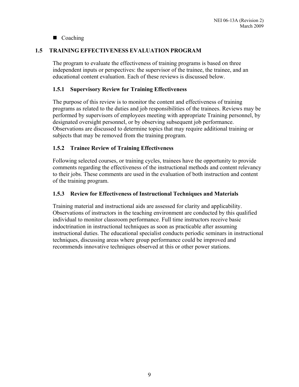#### ■ Coaching

#### **1.5 TRAINING EFFECTIVENESS EVALUATION PROGRAM**

The program to evaluate the effectiveness of training programs is based on three independent inputs or perspectives: the supervisor of the trainee, the trainee, and an educational content evaluation. Each of these reviews is discussed below.

#### **1.5.1 Supervisory Review for Training Effectiveness**

The purpose of this review is to monitor the content and effectiveness of training programs as related to the duties and job responsibilities of the trainees. Reviews may be performed by supervisors of employees meeting with appropriate Training personnel, by designated oversight personnel, or by observing subsequent job performance. Observations are discussed to determine topics that may require additional training or subjects that may be removed from the training program.

#### **1.5.2 Trainee Review of Training Effectiveness**

Following selected courses, or training cycles, trainees have the opportunity to provide comments regarding the effectiveness of the instructional methods and content relevancy to their jobs. These comments are used in the evaluation of both instruction and content of the training program.

#### **1.5.3 Review for Effectiveness of Instructional Techniques and Materials**

Training material and instructional aids are assessed for clarity and applicability. Observations of instructors in the teaching environment are conducted by this qualified individual to monitor classroom performance. Full time instructors receive basic indoctrination in instructional techniques as soon as practicable after assuming instructional duties. The educational specialist conducts periodic seminars in instructional techniques, discussing areas where group performance could be improved and recommends innovative techniques observed at this or other power stations.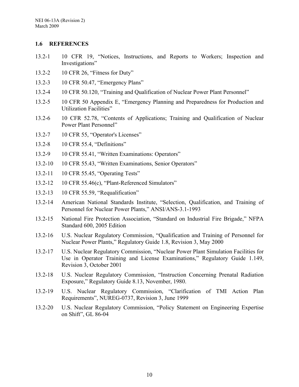#### **1.6 REFERENCES**

- 13.2-1 10 CFR 19, "Notices, Instructions, and Reports to Workers; Inspection and Investigations"
- 13.2-2 10 CFR 26, "Fitness for Duty"
- 13.2-3 10 CFR 50.47, "Emergency Plans"
- 13.2-4 10 CFR 50.120, "Training and Qualification of Nuclear Power Plant Personnel"
- 13.2-5 10 CFR 50 Appendix E, "Emergency Planning and Preparedness for Production and Utilization Facilities"
- 13.2-6 10 CFR 52.78, "Contents of Applications; Training and Qualification of Nuclear Power Plant Personnel"
- 13.2-7 10 CFR 55, "Operator's Licenses"
- 13.2-8 10 CFR 55.4, "Definitions"
- 13.2-9 10 CFR 55.41, "Written Examinations: Operators"
- 13.2-10 10 CFR 55.43, "Written Examinations, Senior Operators"
- 13.2-11 10 CFR 55.45, "Operating Tests"
- 13.2-12 10 CFR 55.46(c), "Plant-Referenced Simulators"
- 13.2-13 10 CFR 55.59, "Requalification"
- 13.2-14 American National Standards Institute, "Selection, Qualification, and Training of Personnel for Nuclear Power Plants," ANSI/ANS-3.1-1993
- 13.2-15 National Fire Protection Association, "Standard on Industrial Fire Brigade," NFPA Standard 600, 2005 Edition
- 13.2-16 U.S. Nuclear Regulatory Commission, "Qualification and Training of Personnel for Nuclear Power Plants," Regulatory Guide 1.8, Revision 3, May 2000
- 13.2-17 U.S. Nuclear Regulatory Commission, "Nuclear Power Plant Simulation Facilities for Use in Operator Training and License Examinations," Regulatory Guide 1.149, Revision 3, October 2001
- 13.2-18 U.S. Nuclear Regulatory Commission, "Instruction Concerning Prenatal Radiation Exposure," Regulatory Guide 8.13, November, 1980.
- 13.2-19 U.S. Nuclear Regulatory Commission, "Clarification of TMI Action Plan Requirements", NUREG-0737, Revision 3, June 1999
- 13.2-20 U.S. Nuclear Regulatory Commission, "Policy Statement on Engineering Expertise on Shift", GL 86-04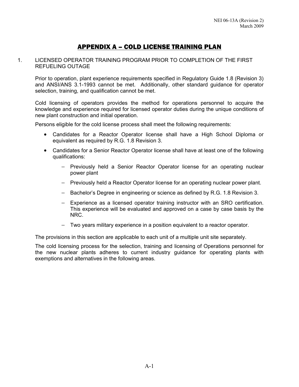## APPENDIX A – COLD LICENSE TRAINING PLAN

#### 1. LICENSED OPERATOR TRAINING PROGRAM PRIOR TO COMPLETION OF THE FIRST REFUELING OUTAGE

Prior to operation, plant experience requirements specified in Regulatory Guide 1.8 (Revision 3) and ANSI/ANS 3.1-1993 cannot be met. Additionally, other standard guidance for operator selection, training, and qualification cannot be met.

Cold licensing of operators provides the method for operations personnel to acquire the knowledge and experience required for licensed operator duties during the unique conditions of new plant construction and initial operation.

Persons eligible for the cold license process shall meet the following requirements:

- Candidates for a Reactor Operator license shall have a High School Diploma or equivalent as required by R.G. 1.8 Revision 3.
- Candidates for a Senior Reactor Operator license shall have at least one of the following qualifications:
	- − Previously held a Senior Reactor Operator license for an operating nuclear power plant
	- − Previously held a Reactor Operator license for an operating nuclear power plant.
	- − Bachelor's Degree in engineering or science as defined by R.G. 1.8 Revision 3.
	- − Experience as a licensed operator training instructor with an SRO certification. This experience will be evaluated and approved on a case by case basis by the NRC.
	- − Two years military experience in a position equivalent to a reactor operator.

The provisions in this section are applicable to each unit of a multiple unit site separately.

The cold licensing process for the selection, training and licensing of Operations personnel for the new nuclear plants adheres to current industry guidance for operating plants with exemptions and alternatives in the following areas.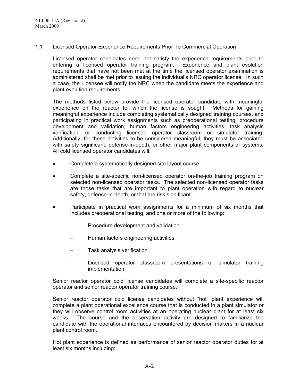#### 1.1 Licensed Operator Experience Requirements Prior To Commercial Operation

Licensed operator candidates need not satisfy the experience requirements prior to entering a licensed operator training program. Experience and plant evolution requirements that have not been met at the time the licensed operator examination is administered shall be met prior to issuing the individual's NRC operator license. In such a case, the Licensee will notify the NRC when the candidate meets the experience and plant evolution requirements.

The methods listed below provide the licensed operator candidate with meaningful experience on the reactor for which the license is sought. Methods for gaining meaningful experience include completing systematically designed training courses, and participating in practical work assignments such as preoperational testing, procedure development and validation, human factors engineering activities, task analysis verification, or conducting licensed operator classroom or simulator training. Additionally, for these activities to be considered meaningful, they must be associated with safety significant, defense-in-depth, or other major plant components or systems. All cold licensed operator candidates will:

- Complete a systematically designed site layout course.
- Complete a site-specific non-licensed operator on-the-job training program on selected non-licensed operator tasks. The selected non-licensed operator tasks are those tasks that are important to plant operation with regard to nuclear safety, defense-in-depth, or that are risk significant.
- Participate in practical work assignments for a minimum of six months that includes preoperational testing, and one or more of the following:
	- Procedure development and validation
	- − Human factors engineering activities
	- Task analysis verification
	- Licensed operator classroom presentations or simulator training implementation

Senior reactor operator cold license candidates will complete a site-specific reactor operator and senior reactor operator training course.

Senior reactor operator cold license candidates without "hot" plant experience will complete a plant operational excellence course that is conducted in a plant simulator or they will observe control room activities at an operating nuclear plant for at least six weeks. The course and the observation activity are designed to familiarize the candidate with the operational interfaces encountered by decision makers in a nuclear plant control room.

Hot plant experience is defined as performance of senior reactor operator duties for at least six months including: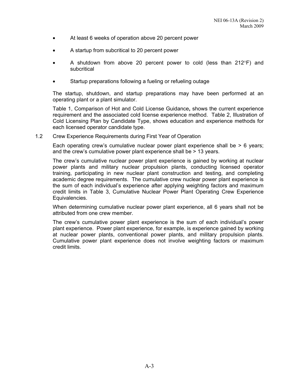- At least 6 weeks of operation above 20 percent power
- A startup from subcritical to 20 percent power
- A shutdown from above 20 percent power to cold (less than 212°F) and subcritical
- Startup preparations following a fueling or refueling outage

The startup, shutdown, and startup preparations may have been performed at an operating plant or a plant simulator.

Table 1, Comparison of Hot and Cold License Guidance**,** shows the current experience requirement and the associated cold license experience method. Table 2, Illustration of Cold Licensing Plan by Candidate Type, shows education and experience methods for each licensed operator candidate type.

1.2 Crew Experience Requirements during First Year of Operation

Each operating crew's cumulative nuclear power plant experience shall be  $> 6$  years; and the crew's cumulative power plant experience shall be > 13 years.

The crew's cumulative nuclear power plant experience is gained by working at nuclear power plants and military nuclear propulsion plants, conducting licensed operator training, participating in new nuclear plant construction and testing, and completing academic degree requirements. The cumulative crew nuclear power plant experience is the sum of each individual's experience after applying weighting factors and maximum credit limits in Table 3, Cumulative Nuclear Power Plant Operating Crew Experience Equivalencies.

When determining cumulative nuclear power plant experience, all 6 years shall not be attributed from one crew member.

The crew's cumulative power plant experience is the sum of each individual's power plant experience. Power plant experience, for example, is experience gained by working at nuclear power plants, conventional power plants, and military propulsion plants. Cumulative power plant experience does not involve weighting factors or maximum credit limits.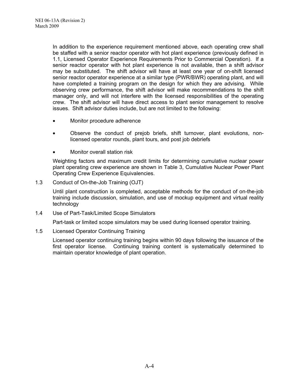In addition to the experience requirement mentioned above, each operating crew shall be staffed with a senior reactor operator with hot plant experience (previously defined in 1.1, Licensed Operator Experience Requirements Prior to Commercial Operation). If a senior reactor operator with hot plant experience is not available, then a shift advisor may be substituted. The shift advisor will have at least one year of on-shift licensed senior reactor operator experience at a similar type (PWR/BWR) operating plant, and will have completed a training program on the design for which they are advising. While observing crew performance, the shift advisor will make recommendations to the shift manager only, and will not interfere with the licensed responsibilities of the operating crew. The shift advisor will have direct access to plant senior management to resolve issues. Shift advisor duties include, but are not limited to the following:

- Monitor procedure adherence
- Observe the conduct of prejob briefs, shift turnover, plant evolutions, nonlicensed operator rounds, plant tours, and post job debriefs
- Monitor overall station risk

Weighting factors and maximum credit limits for determining cumulative nuclear power plant operating crew experience are shown in Table 3, Cumulative Nuclear Power Plant Operating Crew Experience Equivalencies.

1.3 Conduct of On-the-Job Training (OJT)

Until plant construction is completed, acceptable methods for the conduct of on-the-job training include discussion, simulation, and use of mockup equipment and virtual reality technology

1.4 Use of Part-Task/Limited Scope Simulators

Part-task or limited scope simulators may be used during licensed operator training.

1.5 Licensed Operator Continuing Training

Licensed operator continuing training begins within 90 days following the issuance of the first operator license. Continuing training content is systematically determined to maintain operator knowledge of plant operation.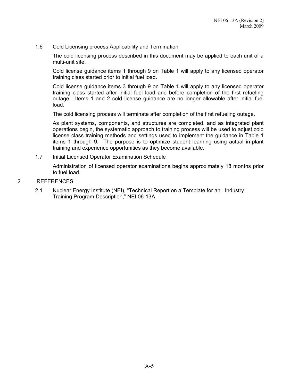#### 1.6 Cold Licensing process Applicability and Termination

The cold licensing process described in this document may be applied to each unit of a multi-unit site.

Cold license guidance items 1 through 9 on Table 1 will apply to any licensed operator training class started prior to initial fuel load.

Cold license guidance items 3 through 9 on Table 1 will apply to any licensed operator training class started after initial fuel load and before completion of the first refueling outage. Items 1 and 2 cold license guidance are no longer allowable after initial fuel load.

The cold licensing process will terminate after completion of the first refueling outage.

As plant systems, components, and structures are completed, and as integrated plant operations begin, the systematic approach to training process will be used to adjust cold license class training methods and settings used to implement the guidance in Table 1 items 1 through 9. The purpose is to optimize student learning using actual in-plant training and experience opportunities as they become available.

1.7 Initial Licensed Operator Examination Schedule

Administration of licensed operator examinations begins approximately 18 months prior to fuel load.

- 2 REFERENCES
	- 2.1 Nuclear Energy Institute (NEI), "Technical Report on a Template for an Industry Training Program Description," NEI 06-13A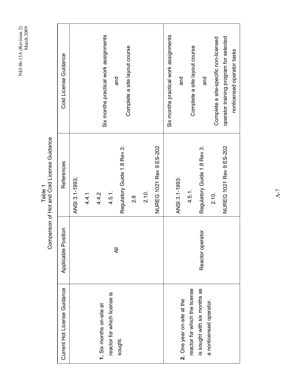> Table 1<br>Comparison of Hot and Cold License Guidance Comparison of Hot and Cold License Guidance

| Cold License Guidance        |                |       |                          | Six months practical work assignments | and                         | Complete a site layout course |       |                         | Six months practical work assignments | and                        | Complete a site layout course | and                          | Complete a site-specific non-licensed | operator training program for selected | nonlicensed operator tasks |
|------------------------------|----------------|-------|--------------------------|---------------------------------------|-----------------------------|-------------------------------|-------|-------------------------|---------------------------------------|----------------------------|-------------------------------|------------------------------|---------------------------------------|----------------------------------------|----------------------------|
| References                   | ANSI 3.1-1993; | 4.4.1 | 4.4.2                    | 4.5.1.                                | Regulatory Guide 1.8 Rev 3: | $\frac{8}{2}$                 | 2.10. | NUREG 1021 Rev 9 ES-202 |                                       | ANSI 3.1-1993:             | 4.5.1.                        | Regulatory Guide 1.8 Rev 3:  | 2.10.                                 | NUREG 1021 Rev 9 ES-202                |                            |
| Applicable Position          |                |       |                          | ₹                                     |                             |                               |       |                         |                                       |                            |                               | Reactor operator             |                                       |                                        |                            |
| Current Hot License Guidance |                |       | 1. Six months on-site at | reactor for which license is          | sought.                     |                               |       |                         |                                       | 2. One year on-site at the | reactor for which the license | is sought with six months as | a nonlicensed operator.               |                                        |                            |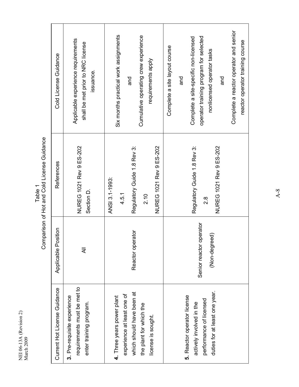|                                   | Cold License Guidance        | Applicable experience requirements<br>shall be met prior to NRC license<br>issuance.  | Six months practical work assignments<br>Cumulative operating crew experience<br>requirements apply<br>and                             | Complete a reactor operator and senior<br>operator training program for selected<br>Complete a site-specific non-licensed<br>reactor operator training course<br>Complete a site layout course<br>nonlicensed operator tasks<br>and<br>pue |
|-----------------------------------|------------------------------|---------------------------------------------------------------------------------------|----------------------------------------------------------------------------------------------------------------------------------------|--------------------------------------------------------------------------------------------------------------------------------------------------------------------------------------------------------------------------------------------|
| ) ) ) ) ) ) ) ) )                 | References                   | NUREG 1021 Rev 9 ES-202<br>Section D.                                                 | Regulatory Guide 1.8 Rev 3:<br>NUREG 1021 Rev 9 ES-202<br>ANSI 3.1-1993:<br>4.5.1<br>2.10                                              | Regulatory Guide 1.8 Rev 3:<br>NUREG 1021 Rev 9 ES-202<br>$2.\overline{8}$                                                                                                                                                                 |
| D. 2011 - D. 1001 - D. 2011<br>ミノ | Applicable Position          | ₹                                                                                     | rator<br>Reactor oper                                                                                                                  | Senior reactor operator<br>(Non-degreed)                                                                                                                                                                                                   |
|                                   | Current Hot License Guidance | requirements must be met to<br>3. Pre-requisite experience<br>enter training program. | which should have been at<br>experience at least one of<br>4. Three years power plant<br>the plant for which the<br>license is sought. | duties for at least one year.<br>5. Reactor operator license<br>performance of licensed<br>actively involved in the                                                                                                                        |

Table 1<br>Comparison of Hot and Cold License Guidance Comparison of Hot and Cold License Guidance

NEI 06-13A (Revision 2)

NEI 06-13A (Revision 2)<br>March 2009

March 2009

A-8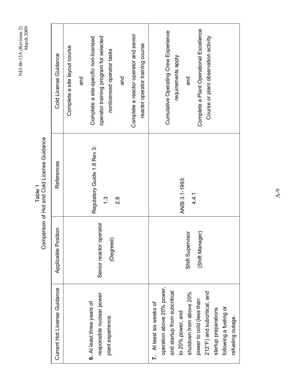|                                                        | Cold License Guidance        | Complete a site-specific non-licensed<br>Complete a site layout course<br>and | operator training program for selected<br>nonlicensed operator tasks<br>and | Complete a reactor operator and senior<br>reactor operator training course | Complete a Plant Operational Excellence<br>Cumulative Operating Crew Experience<br>Course or plant observation activity<br>requirements apply<br>and                                                                                                                     |
|--------------------------------------------------------|------------------------------|-------------------------------------------------------------------------------|-----------------------------------------------------------------------------|----------------------------------------------------------------------------|--------------------------------------------------------------------------------------------------------------------------------------------------------------------------------------------------------------------------------------------------------------------------|
| Comparison of Hot and Cold License Guidance<br>Table 1 | References                   | Regulatory Guide 1.8 Rev 3:                                                   | $\ddot{.}$<br>$\frac{8}{2}$                                                 |                                                                            | ANSI 3.1-1993:<br>4.4.1                                                                                                                                                                                                                                                  |
|                                                        | Applicable Position          |                                                                               | Senior reactor operator<br>(Degreed)                                        |                                                                            | Shift Supervisor<br>ager)<br>(Shift Mana                                                                                                                                                                                                                                 |
|                                                        | Current Hot License Guidance | 6. At least three years of                                                    | responsible nuclear power<br>plant experience.                              |                                                                            | operation above 20% power,<br>and startup from subcritical<br>shutdown from above 20%<br>212°F) and subcritical, and<br>power to cold (less than<br>7. At least six weeks of<br>following a fueling or<br>startup preparations<br>to 20% power, and<br>refueling outage. |

A-9

# NEI 06-13A (Revision 2)<br>March 2009 NEI 06-13A (Revision 2) March 2009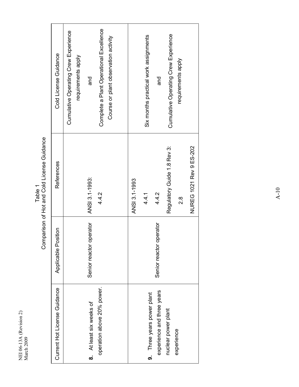| Cold License Guidance        | Complete a Plant Operational Excellence<br>Cumulative Operating Crew Experience<br>Course or plant observation activity<br>requirements apply<br>and |               | Six months practical work assignments | pue                        | Cumulative Operating Crew Experience | requirements apply |                         |
|------------------------------|------------------------------------------------------------------------------------------------------------------------------------------------------|---------------|---------------------------------------|----------------------------|--------------------------------------|--------------------|-------------------------|
| References                   | ANSI 3.1-1993:<br>4.4.2                                                                                                                              | ANSI 3.1-1993 | 4.4.1                                 | 4.4.2                      | Regulatory Guide 1.8 Rev 3:          | $\frac{8}{2}$      | NUREG 1021 Rev 9 ES-202 |
| Applicable Position          | operator<br>Senior reactor                                                                                                                           |               |                                       | operator<br>Senior reactor |                                      |                    |                         |
| Current Hot License Guidance | operation above 20% power.<br>8. At least six weeks of                                                                                               |               | 9. Three years power plant            | experience and three years | nuclear power plant                  | experience         |                         |

Table 1<br>Comparison of Hot and Cold License Guidance Comparison of Hot and Cold License Guidance

NEI 06-13A (Revision 2)

NEI 06-13A (Revision 2)<br>March 2009

March 2009

A-10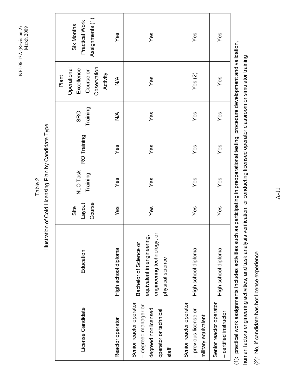Table 2

Illustration of Cold Licensing Plan by Candidate Type

Illustration of Cold Licensing Plan by Candidate Type

Assignments (1) Assignments (1) Practical Work Practical Work Six Months Six Months se Yes Yes Yes Yes Yes Yes Now Yes Now Tetelorip routing touris up the serve Area Yes Yes Yes Yes Yes Yes High school diploma Yes Yes Yes Yes Yes (2) Yes – certified instructor High school diploma Yes Yes Yes Yes Yes Yes Yes Yes Yes Yes Observation Operational Observation Operational **Excellence** Excellence Course or Course or Plant Activity Yes $(2)$ Yes  $\frac{1}{2}$ Yes **Training** SRO  $\frac{1}{2}$ Yes Yes Yes Training RO Training RO Training Yes Yes Yes Yes **NLO Task** NLO Task Training Yes Yes Yes Yes Layout Course Site Yes Yes Yes Yes engineering technology, or engineering technology, or equivalent in engineering, equivalent in engineering, Bachelor of Science or Bachelor of Science or High school diploma High school diploma High school diploma License Candidate Education Education physical science ohysical science Senior reactor operator Senior reactor operator Senior reactor operator Senior reactor operator Senior reactor operator Senior reactor operator – degreed manager or - degreed manager or License Candidate degreed nonlicensed degreed nonlicensed operator or technical – previous license or - previous license or operator or technical - certified instructor military equivalent military equivalent Reactor operator staff

(1): practical work assignments includes activities such as participating in preoperational testing, procedure development and validation, (1): practical work assignments includes activities such as participating in preoperational testing, procedure development and validation, human factors engineering activities, and task analysis verification, or conducting licensed operator classroom or simulator training human factors engineering activities, and task analysis verification, or conducting licensed operator classroom or simulator training

(2): No, if candidate has hot license experience (2): No, if candidate has hot license experience A-11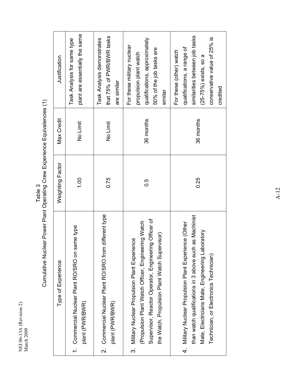Table 3<br>Cumulative Nuclear Power Plant Operating Crew Experience Equivalencies (1) Cumulative Nuclear Power Plant Operating Crew Experience Equivalencies (1)

|                         | Type of Experience                                                                                                                                                                                                 | Weighting Factor | <b>Max Credit</b> | Justification                                                                                                                                                  |
|-------------------------|--------------------------------------------------------------------------------------------------------------------------------------------------------------------------------------------------------------------|------------------|-------------------|----------------------------------------------------------------------------------------------------------------------------------------------------------------|
|                         | same type<br>1. Commercial Nuclear Plant RO/SRO on<br>plant (PWR/BWR)                                                                                                                                              | 1.00             | No Limit          | plant are essentially the same<br>Task Analysis for same type                                                                                                  |
| $\overline{\mathsf{N}}$ | Commercial Nuclear Plant RO/SRO from different type<br>plant (PWR/BWR)                                                                                                                                             | 0.75             | No Limit          | that 75% of PWR/BWR tasks<br>Task Analysis demonstrates<br>are similar                                                                                         |
|                         | Supervisor, Reactor Operator, Engineering Officer of<br>(Propulsion Plant Watch Officer, Engineering Watch<br>ervisor)<br>3. Military Nuclear Propulsion Plant Experience<br>the Watch, Propulsion Plant Watch Sup | 0.5              | 36 months         | qualifications, approximately<br>For these military nuclear<br>50% of the job tasks are<br>propulsion plant watch<br>similar                                   |
|                         | than watch qualifications in 3 above such as Machinist<br>4. Military Nuclear Propulsion Plant Experience (Other<br>Mate, Electricians Mate, Engineering Laboratory<br>Technician, or Electronics Technician)      | 0.25             | 36 months         | similarities between job tasks<br>conservative value of 25% is<br>qualifications, a range of<br>For these (other) watch<br>$(25-75%)$ exists, so a<br>credited |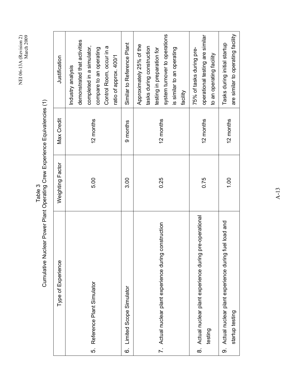system turnover to operations system turnover to operations operational testing are similar operational testing are similar demonstrated that activities demonstrated that activities Similar to Reference Plant 6. Limited Scope Simulator 3.00 9 months Similar to Reference Plant Approximately 25% of the Approximately 25% of the completed in a simulator, completed in a simulator, Control Room, occur in a Control Room, occur in a tasks during construction compare to an operating tasks during construction is similar to an operating is similar to an operating compare to an operating testing in preparation for 75% of tasks during pretesting in preparation for 75% of tasks during preto an operating facility to an operating facility ratio of approx. 400/1 Justification Type of Experience Weighting Factor Max Credit Justification ratio of approx. 400/1 Industry analysis Industry analysis facility 5. Reference Plant Simulator 5.00 12 months 7. Actual nuclear plant experience during construction 10.25 12 months  $0.75$  12 months Max Credit 12 months 12 months 12 months 9 months Weighting Factor 0.25 5.00 3.00 0.75 8. Actual nuclear plant experience during pre-operational 8. Actual nuclear plant experience during pre-operational 7. Actual nuclear plant experience during construction Type of Experience Reference Plant Simulator Limited Scope Simulator testing 5. <u>ဖ</u>

Cumulative Nuclear Power Plant Operating Crew Experience Equivalencies (1) Cumulative Nuclear Power Plant Operating Crew Experience Equivalencies (1) Table 3

9. Actual nuclear plant experience during fuel load and

တ

Actual nuclear plant experience during fuel load and

1.00 12 months Tasks during initial startup

12 months

1.00

are similar to operating facility

are similar to operating facility

Tasks during initial startup

startup testing

startup testing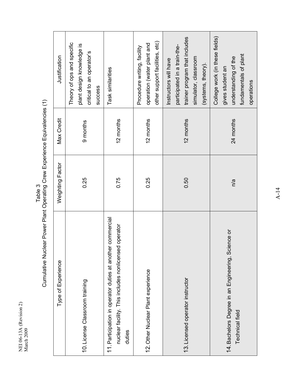Table 3<br>Cumulative Nuclear Power Plant Operating Crew Experience Equivalencies (1) Cumulative Nuclear Power Plant Operating Crew Experience Equivalencies (1)

| Type of Experience                                                                                                               | Weighting Factor | <b>Max Credit</b> | Justification                                                                                                                        |
|----------------------------------------------------------------------------------------------------------------------------------|------------------|-------------------|--------------------------------------------------------------------------------------------------------------------------------------|
| 10. License Classroom training                                                                                                   | 0.25             | 9 months          | Theory of ops and specific<br>plant design knowledge is<br>critical to an operator's<br><b>SUCCESS</b>                               |
| er commercial<br>nuclear facility. This includes nonlicensed operator<br>11. Participation in operator duties at anoth<br>duties | 0.75             | 12 months         | Task similarities                                                                                                                    |
| 12. Other Nuclear Plant experience                                                                                               | 0.25             | 12 months         | other support facilities, etc)<br>operation (water plant and<br>Procedure writing, facility                                          |
| 13. Licensed operator instructor                                                                                                 | 0.50             | 12 months         | trainer program that includes<br>participated in a train-the-<br>simulator, classroom<br>Instructors will have<br>(systems, theory). |
| 14. Bachelors Degree in an Engineering, Science or<br><b>Technical field</b>                                                     | n/a              | 24 months         | College work (in these fields)<br>fundamentals of plant<br>understanding of the<br>gives student an<br>operations                    |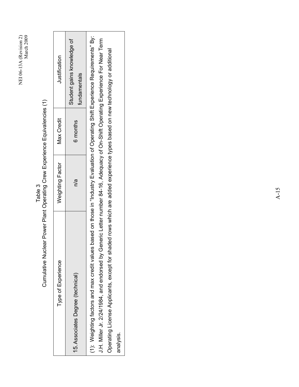| Cumulative Nuclear Power Plant Operating Grew Experience Equivalencies (1)                                                                                                                                                                                                                                                                                                                                         |                  |            |                                            |  |
|--------------------------------------------------------------------------------------------------------------------------------------------------------------------------------------------------------------------------------------------------------------------------------------------------------------------------------------------------------------------------------------------------------------------|------------------|------------|--------------------------------------------|--|
| Type of Experience                                                                                                                                                                                                                                                                                                                                                                                                 | Weighting Factor | Max Credit | Justification                              |  |
| 15. Associates Degree (technical)                                                                                                                                                                                                                                                                                                                                                                                  | n/a              | 6 months   | Student gains knowledge of<br>fundamentals |  |
| (1): Weighting factors and max credit values based on those in "Industry Evaluation of Operating Shift Experience Requirements" By:<br>J.H. Miller Jr. 2/24/1984, and endorsed by Generic Letter number 84-16, Adequacy of On-Shift Operating Experience For Near Term<br>Operating License Applicants, except for shaded rows which are added experience types based on new technology or additional<br>analysis. |                  |            |                                            |  |
|                                                                                                                                                                                                                                                                                                                                                                                                                    |                  |            |                                            |  |

Table 3

NEI 06-13A (Revision 2)

NEI 06-13A (Revision 2)<br>March 2009

March 2009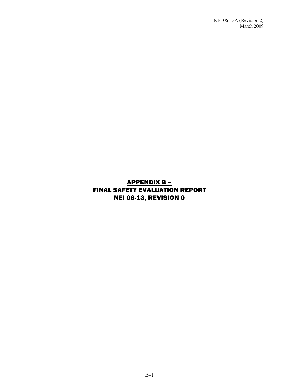### APPENDIX B – FINAL SAFETY EVALUATION REPORT NEI 06-13, REVISION 0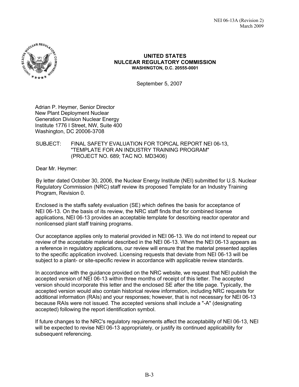

#### **UNITED STATES NULCEAR REGULATORY COMMISSION WASHINGTON, D.C. 20555-0001**

September 5, 2007

Adrian P. Heymer, Senior Director New Plant Deployment Nuclear Generation Division Nuclear Energy Institute 1776 I Street, NW, Suite 400 Washington, DC 20006-3708

#### SUBJECT: FINAL SAFETY EVALUATION FOR TOPICAL REPORT NEI 06-13, "TEMPLATE FOR AN INDUSTRY TRAINING PROGRAM" (PROJECT NO. 689; TAC NO. MD3406)

Dear Mr. Heymer:

By letter dated October 30, 2006, the Nuclear Energy Institute (NEI) submitted for U.S. Nuclear Regulatory Commission (NRC) staff review its proposed Template for an Industry Training Program, Revision 0.

Enclosed is the staffs safety evaluation (SE) which defines the basis for acceptance of NEI 06-13. On the basis of its review, the NRC staff finds that for combined license applications, NEI 06-13 provides an acceptable template for describing reactor operator and nonlicensed plant staff training programs.

Our acceptance applies only to material provided in NEI 06-13. We do not intend to repeat our review of the acceptable material described in the NEI 06-13. When the NEI 06-13 appears as a reference in regulatory applications, our review will ensure that the material presented applies to the specific application involved. Licensing requests that deviate from NEI 06-13 will be subject to a plant- or site-specific review in accordance with applicable review standards.

In accordance with the guidance provided on the NRC website, we request that NEI publish the accepted version of NEI 06-13 within three months of receipt of this letter. The accepted version should incorporate this letter and the enclosed SE after the title page. Typically, the accepted version would also contain historical review information, including NRC requests for additional information (RAIs) and your responses; however, that is not necessary for NEI 06-13 because RAIs were not issued. The accepted versions shall include a "-A" (designating accepted) following the report identification symbol.

If future changes to the NRC's regulatory requirements affect the acceptability of NEI 06-13, NEI will be expected to revise NEI 06-13 appropriately, or justify its continued applicability for subsequent referencing.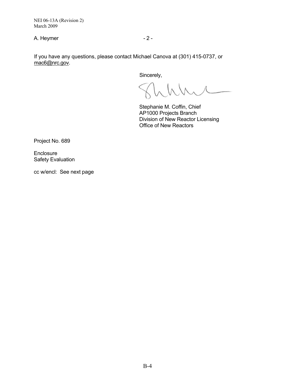NEI 06-13A (Revision 2) March 2009

A. Heymer  $-2 -$ 

If you have any questions, please contact Michael Canova at (301) 415-0737, or mac6@nrc.gov.

Sincerely,

Stephanie M. Coffin, Chief AP1000 Projects Branch Division of New Reactor Licensing Office of New Reactors

Project No. 689

**Enclosure** Safety Evaluation

cc w/encl: See next page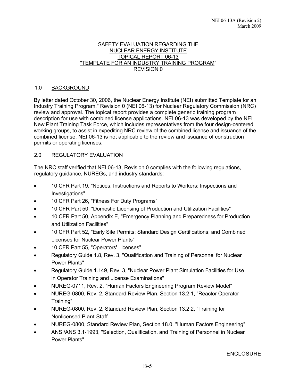#### SAFETY EVALUATION REGARDING THE NUCLEAR ENERGY INSTITUTE TOPICAL REPORT 06-13 "TEMPLATE FOR AN INDUSTRY TRAINING PROGRAM" REVISION 0

### 1.0 BACKGROUND

By letter dated October 30, 2006, the Nuclear Energy Institute (NEI) submitted Template for an Industry Training Program," Revision 0 (NEI 06-13) for Nuclear Regulatory Commission (NRC) review and approval. The topical report provides a complete generic training program description for use with combined license applications. NEI 06-13 was developed by the NEI New Plant Training Task Force, which includes representatives from the four design-centered working groups, to assist in expediting NRC review of the combined license and issuance of the combined license. NEI 06-13 is not applicable to the review and issuance of construction permits or operating licenses.

## 2.0 REGULATORY EVALUATION

The NRC staff verified that NEI 06-13, Revision 0 complies with the following regulations, regulatory guidance, NUREGs, and industry standards:

- 10 CFR Part 19, "Notices, Instructions and Reports to Workers: Inspections and Investigations"
- 10 CFR Part 26, "Fitness For Duty Programs"
- 10 CFR Part 50, "Domestic Licensing of Production and Utilization Facilities"
- 10 CFR Part 50, Appendix E, "Emergency Planning and Preparedness for Production and Utilization Facilities"
- 10 CFR Part 52, "Early Site Permits; Standard Design Certifications; and Combined Licenses for Nuclear Power Plants"
- 10 CFR Part 55, "Operators' Licenses"
- Regulatory Guide 1.8, Rev. 3, "Qualification and Training of Personnel for Nuclear Power Plants"
- Regulatory Guide 1.149, Rev. 3, "Nuclear Power Plant Simulation Facilities for Use in Operator Training and License Examinations"
- NUREG-0711, Rev. 2, "Human Factors Engineering Program Review Model"
- NUREG-0800, Rev. 2, Standard Review Plan, Section 13.2.1, "Reactor Operator Training"
- NUREG-0800, Rev. 2, Standard Review Plan, Section 13.2.2, "Training for Nonlicensed Plant Staff
- NUREG-0800, Standard Review Plan, Section 18.0, "Human Factors Engineering"
- ANSI/ANS 3.1-1993, "Selection, Qualification, and Training of Personnel in Nuclear Power Plants"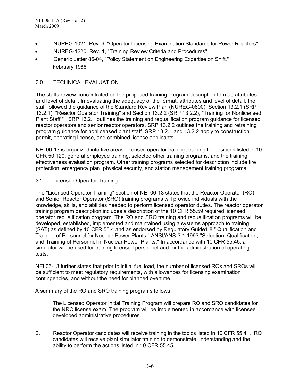- NUREG-1021, Rev. 9, "Operator Licensing Examination Standards for Power Reactors"
- NUREG-1220, Rev. 1, "Training Review Criteria and Procedures"
- Generic Letter 86-04, "Policy Statement on Engineering Expertise on Shift," February 1986

## 3.0 TECHNICAL EVALUATION

The staffs review concentrated on the proposed training program description format, attributes and level of detail. In evaluating the adequacy of the format, attributes and level of detail, the staff followed the guidance of the Standard Review Plan (NUREG-0800), Section 13.2.1 (SRP 13.2.1), "Reactor Operator Training" and Section 13.2.2 (SRP 13.2.2), "Training for Nonlicensed Plant Staff." SRP 13.2.1 outlines the training and requalification program guidance for licensed reactor operators and senior reactor operators. SRP 13.2.2 outlines the training and retraining program guidance for nonlicensed plant staff. SRP 13.2.1 and 13.2.2 apply to construction permit, operating license, and combined license applicants.

NEI 06-13 is organized into five areas, licensed operator training, training for positions listed in 10 CFR 50.120, general employee training, selected other training programs, and the training effectiveness evaluation program. Other training programs selected for description include fire protection, emergency plan, physical security, and station management training programs.

## 3.1 Licensed Operator Training

The "Licensed Operator Training" section of NEI 06-13 states that the Reactor Operator (RO) and Senior Reactor Operator (SRO) training programs will provide individuals with the knowledge, skills, and abilities needed to perform licensed operator duties. The reactor operator training program description includes a description of the 10 CFR 55.59 required licensed operator requalification program. The RO and SRO training and requalification programs will be developed, established, implemented and maintained using a systems approach to training (SAT) as defined by 10 CFR 55.4 and as endorsed by Regulatory Guide1.8 " Qualification and Training of Personnel for Nuclear Power Plants," ANSI/ANS-3.1-1993 "Selection, Qualification, and Training of Personnel in Nuclear Power Plants." In accordance with 10 CFR 55.46, a simulator will be used for training licensed personnel and for the administration of operating tests.

NEI 06-13 further states that prior to initial fuel load, the number of licensed ROs and SROs will be sufficient to meet regulatory requirements, with allowances for licensing examination contingencies, and without the need for planned overtime.

A summary of the RO and SRO training programs follows:

- 1. The Licensed Operator Initial Training Program will prepare RO and SRO candidates for the NRC license exam. The program will be implemented in accordance with licensee developed administrative procedures.
- 2. Reactor Operator candidates will receive training in the topics listed in 10 CFR 55.41. RO candidates will receive plant simulator training to demonstrate understanding and the ability to perform the actions listed in 10 CFR 55.45.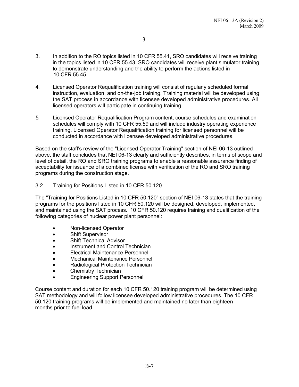- 3. In addition to the RO topics listed in 10 CFR 55.41, SRO candidates will receive training in the topics listed in 10 CFR 55.43. SRO candidates will receive plant simulator training to demonstrate understanding and the ability to perform the actions listed in 10 CFR 55.45.
- 4. Licensed Operator Requalification training will consist of regularly scheduled formal instruction, evaluation, and on-the-job training. Training material will be developed using the SAT process in accordance with licensee developed administrative procedures. All licensed operators will participate in continuing training.
- 5. Licensed Operator Requalification Program content, course schedules and examination schedules will comply with 10 CFR 55.59 and will include industry operating experience training. Licensed Operator Requalification training for licensed personnel will be conducted in accordance with licensee developed administrative procedures.

Based on the staff's review of the "Licensed Operator Training" section of NEI 06-13 outlined above, the staff concludes that NEI 06-13 clearly and sufficiently describes, in terms of scope and level of detail, the RO and SRO training programs to enable a reasonable assurance finding of acceptability for issuance of a combined license with verification of the RO and SRO training programs during the construction stage.

#### 3.2 Training for Positions Listed in 10 CFR 50.120

The "Training for Positions Listed in 10 CFR 50.120" section of NEI 06-13 states that the training programs for the positions listed in 10 CFR 50.120 will be designed, developed, implemented, and maintained using the SAT process. 10 CFR 50.120 requires training and qualification of the following categories of nuclear power plant personnel:

- Non-licensed Operator
- Shift Supervisor
- Shift Technical Advisor
- Instrument and Control Technician
- Electrical Maintenance Personnel
- Mechanical Maintenance Personnel
- Radiological Protection Technician
- Chemistry Technician
- Engineering Support Personnel

Course content and duration for each 10 CFR 50.120 training program will be determined using SAT methodology and will follow licensee developed administrative procedures. The 10 CFR 50.120 training programs will be implemented and maintained no later than eighteen months prior to fuel load.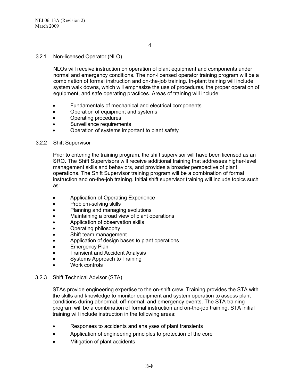### 3.2.1 Non-licensed Operator (NLO)

NLOs will receive instruction on operation of plant equipment and components under normal and emergency conditions. The non-licensed operator training program will be a combination of formal instruction and on-the-job training. In-plant training will include system walk downs, which will emphasize the use of procedures, the proper operation of equipment, and safe operating practices. Areas of training will include:

- Fundamentals of mechanical and electrical components
- Operation of equipment and systems
- Operating procedures
- Surveillance requirements
- Operation of systems important to plant safety

#### 3.2.2 Shift Supervisor

Prior to entering the training program, the shift supervisor will have been licensed as an SRO. The Shift Supervisors will receive additional training that addresses higher-level management skills and behaviors, and provides a broader perspective of plant operations. The Shift Supervisor training program will be a combination of formal instruction and on-the-job training. Initial shift supervisor training will include topics such as:

- Application of Operating Experience
- Problem-solving skills
- Planning and managing evolutions
- Maintaining a broad view of plant operations
- Application of observation skills
- Operating philosophy
- Shift team management
- Application of design bases to plant operations
- **Emergency Plan**
- Transient and Accident Analysis
- Systems Approach to Training
- Work controls

#### 3.2.3 Shift Technical Advisor (STA)

STAs provide engineering expertise to the on-shift crew. Training provides the STA with the skills and knowledge to monitor equipment and system operation to assess plant conditions during abnormal, off-normal, and emergency events. The STA training program will be a combination of formal instruction and on-the-job training. STA initial training will include instruction in the following areas:

- Responses to accidents and analyses of plant transients
- Application of engineering principles to protection of the core
- Mitigation of plant accidents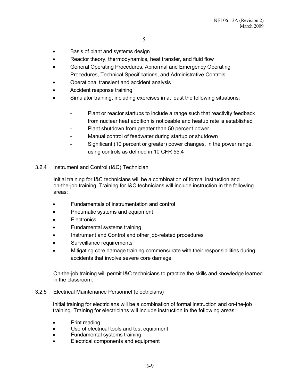- Basis of plant and systems design
- Reactor theory, thermodynamics, heat transfer, and fluid flow
- General Operating Procedures, Abnormal and Emergency Operating Procedures, Technical Specifications, and Administrative Controls
- Operational transient and accident analysis
- Accident response training
- Simulator training, including exercises in at least the following situations:
	- Plant or reactor startups to include a range such that reactivity feedback from nuclear heat addition is noticeable and heatup rate is established
	- Plant shutdown from greater than 50 percent power
	- Manual control of feedwater during startup or shutdown
	- Significant (10 percent or greater) power changes, in the power range, using controls as defined in 10 CFR 55.4
- 3.2.4 Instrument and Control (I&C) Technician

Initial training for I&C technicians will be a combination of formal instruction and on-the-job training. Training for I&C technicians will include instruction in the following areas:

- Fundamentals of instrumentation and control
- Pneumatic systems and equipment
- **Electronics**
- Fundamental systems training
- Instrument and Control and other job-related procedures
- Surveillance requirements
- Mitigating core damage training commensurate with their responsibilities during accidents that involve severe core damage

On-the-job training will permit I&C technicians to practice the skills and knowledge learned in the classroom.

3.2.5 Electrical Maintenance Personnel (electricians)

Initial training for electricians will be a combination of formal instruction and on-the-job training. Training for electricians will include instruction in the following areas:

- Print reading
- Use of electrical tools and test equipment
- Fundamental systems training
- Electrical components and equipment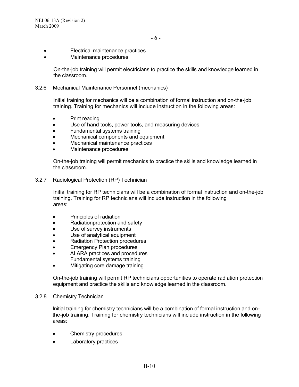- Electrical maintenance practices
- Maintenance procedures

On-the-job training will permit electricians to practice the skills and knowledge learned in the classroom.

3.2.6 Mechanical Maintenance Personnel (mechanics)

Initial training for mechanics will be a combination of formal instruction and on-the-job training. Training for mechanics will include instruction in the following areas:

- Print reading
- Use of hand tools, power tools, and measuring devices
- Fundamental systems training
- Mechanical components and equipment
- Mechanical maintenance practices
- Maintenance procedures

On-the-job training will permit mechanics to practice the skills and knowledge learned in the classroom.

3.2.7 Radiological Protection (RP) Technician

Initial training for RP technicians will be a combination of formal instruction and on-the-job training. Training for RP technicians will include instruction in the following areas:

- Principles of radiation
- Radiationprotection and safety
- Use of survey instruments
- Use of analytical equipment
- Radiation Protection procedures
- Emergency Plan procedures
- ALARA practices and procedures Fundamental systems training
- Mitigating core damage training

On-the-job training will permit RP technicians opportunities to operate radiation protection equipment and practice the skills and knowledge learned in the classroom.

#### 3.2.8 Chemistry Technician

Initial training for chemistry technicians will be a combination of formal instruction and onthe-job training. Training for chemistry technicians will include instruction in the following areas:

- Chemistry procedures
- Laboratory practices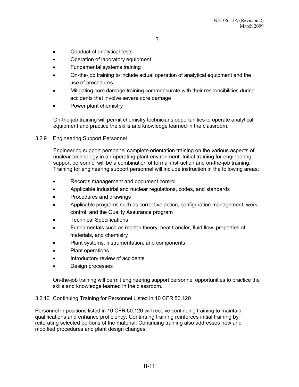- Conduct of analytical tests
- Operation of laboratory equipment
- Fundamental systems training
- On-the-job training to include actual operation of analytical equipment and the use of procedures
- Mitigating core damage training commensurate with their responsibilities during accidents that involve severe core damage
- Power plant chemistry

On-the-job training will permit chemistry technicians opportunities to operate analytical equipment and practice the skills and knowledge learned in the classroom.

3.2.9 Engineering Support Personnel

Engineering support personnel complete orientation training on the various aspects of nuclear technology in an operating plant environment. Initial training for engineering support personnel will be a combination of formal instruction and on-the-job training. Training for engineering support personnel will include instruction in the following areas:

- Records management and document control
- Applicable industrial and nuclear regulations, codes, and standards
- Procedures and drawings
- Applicable programs such as corrective action, configuration management, work control, and the Quality Assurance program
- Technical Specifications
- Fundamentals such as reactor theory, heat transfer, fluid flow, properties of materials, and chemistry
- Plant systems, instrumentation, and components
- Plant operations
- Introductory review of accidents
- Design processes

On-the-job training will permit engineering support personnel opportunities to practice the skills and knowledge learned in the classroom.

#### 3.2.10 Continuing Training for Personnel Listed in 10 CFR 50.120

Personnel in positions listed in 10 CFR 50.120 will receive continuing training to maintain qualifications and enhance proficiency. Continuing training reinforces initial training by reiterating selected portions of the material. Continuing training also addresses new and modified procedures and plant design changes.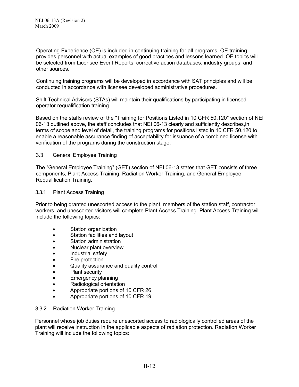Operating Experience (OE) is included in continuing training for all programs. OE training provides personnel with actual examples of good practices and lessons learned. OE topics will be selected from Licensee Event Reports, corrective action databases, industry groups, and other sources.

Continuing training programs will be developed in accordance with SAT principles and will be conducted in accordance with licensee developed administrative procedures.

Shift Technical Advisors (STAs) will maintain their qualifications by participating in licensed operator requalification training.

Based on the staffs review of the "Training for Positions Listed in 10 CFR 50.120" section of NEI 06-13 outlined above, the staff concludes that NEI 06-13 clearly and sufficiently describes,in terms of scope and level of detail, the training programs for positions listed in 10 CFR 50.120 to enable a reasonable assurance finding of acceptability for issuance of a combined license with verification of the programs during the construction stage.

## 3.3 General Employee Training

The "General Employee Training" (GET) section of NEI 06-13 states that GET consists of three components, Plant Access Training, Radiation Worker Training, and General Employee Requalification Training.

#### 3.3.1 Plant Access Training

Prior to being granted unescorted access to the plant, members of the station staff, contractor workers, and unescorted visitors will complete Plant Access Training. Plant Access Training will include the following topics:

- Station organization
- Station facilities and layout
- Station administration
- Nuclear plant overview
- Industrial safety
- Fire protection
- Quality assurance and quality control
- Plant security
- Emergency planning
- Radiological orientation
- Appropriate portions of 10 CFR 26
- Appropriate portions of 10 CFR 19

#### 3.3.2 Radiation Worker Training

Personnel whose job duties require unescorted access to radiologically controlled areas of the plant will receive instruction in the applicable aspects of radiation protection. Radiation Worker Training will include the following topics: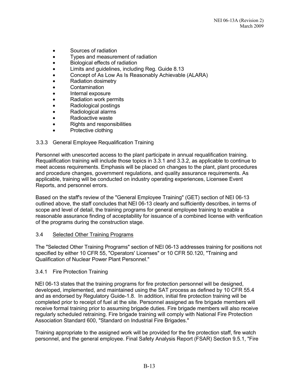- Sources of radiation
- Types and measurement of radiation
- Biological effects of radiation
- Limits and guidelines, including Reg. Guide 8.13
- Concept of As Low As Is Reasonably Achievable (ALARA)
- Radiation dosimetry
- **Contamination**
- Internal exposure
- Radiation work permits
- Radiological postings
- Radiological alarms
- Radioactive waste
- Rights and responsibilities
- Protective clothing

## 3.3.3 General Employee Requalification Training

Personnel with unescorted access to the plant participate in annual requalification training. Requalification training will include those topics in 3.3.1 and 3.3.2, as applicable to continue to meet access requirements. Emphasis will be placed on changes to the plant, plant procedures and procedure changes, government regulations, and quality assurance requirements. As applicable, training will be conducted on industry operating experiences, Licensee Event Reports, and personnel errors.

Based on the staff's review of the "General Employee Training" (GET) section of NEI 06-13 outlined above, the staff concludes that NEI 06-13 clearly and sufficiently describes, in terms of scope and level of detail, the training programs for general employee training to enable a reasonable assurance finding of acceptability for issuance of a combined license with verification of the programs during the construction stage.

### 3.4 Selected Other Training Programs

The "Selected Other Training Programs" section of NEI 06-13 addresses training for positions not specified by either 10 CFR 55, "Operators' Licenses" or 10 CFR 50.120, "Training and Qualification of Nuclear Power Plant Personnel."

#### 3.4.1 Fire Protection Training

NEI 06-13 states that the training programs for fire protection personnel will be designed, developed, implemented, and maintained using the SAT process as defined by 10 CFR 55.4 and as endorsed by Regulatory Guide-1.8. In addition, initial fire protection training will be completed prior to receipt of fuel at the site. Personnel assigned as fire brigade members will receive formal training prior to assuming brigade duties. Fire brigade members will also receive regularly scheduled retraining. Fire brigade training will comply with National Fire Protection Association Standard 600, "Standard on Industrial Fire Brigades."

Training appropriate to the assigned work will be provided for the fire protection staff, fire watch personnel, and the general employee. Final Safety Analysis Report (FSAR) Section 9.5.1, "Fire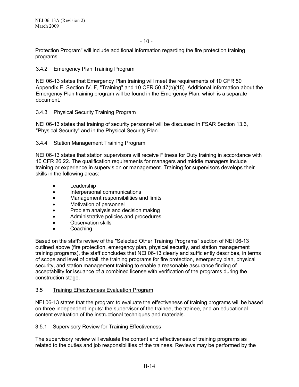Protection Program" will include additional information regarding the fire protection training programs.

## 3.4.2 Emergency Plan Training Program

NEI 06-13 states that Emergency Plan training will meet the requirements of 10 CFR 50 Appendix E, Section IV. F, "Training" and 10 CFR 50.47(b)(15). Additional information about the Emergency Plan training program will be found in the Emergency Plan, which is a separate document.

#### 3.4.3 Physical Security Training Program

NEI 06-13 states that training of security personnel will be discussed in FSAR Section 13.6, "Physical Security" and in the Physical Security Plan.

#### 3.4.4 Station Management Training Program

NEI 06-13 states that station supervisors will receive Fitness for Duty training in accordance with 10 CFR 26.22. The qualification requirements for managers and middle managers include training or experience in supervision or management. Training for supervisors develops their skills in the following areas:

- Leadership
- Interpersonal communications
- Management responsibilities and limits
- Motivation of personnel
- Problem analysis and decision making
- Administrative policies and procedures
- Observation skills
- **Coaching**

Based on the staff's review of the "Selected Other Training Programs" section of NEI 06-13 outlined above (fire protection, emergency plan, physical security, and station management training programs), the staff concludes that NEI 06-13 clearly and sufficiently describes, in terms of scope and level of detail, the training programs for fire protection, emergency plan, physical security, and station management training to enable a reasonable assurance finding of acceptability for issuance of a combined license with verification of the programs during the construction stage.

#### 3.5 Training Effectiveness Evaluation Program

NEI 06-13 states that the program to evaluate the effectiveness of training programs will be based on three independent inputs: the supervisor of the trainee, the trainee, and an educational content evaluation of the instructional techniques and materials.

3.5.1 Supervisory Review for Training Effectiveness

The supervisory review will evaluate the content and effectiveness of training programs as related to the duties and job responsibilities of the trainees. Reviews may be performed by the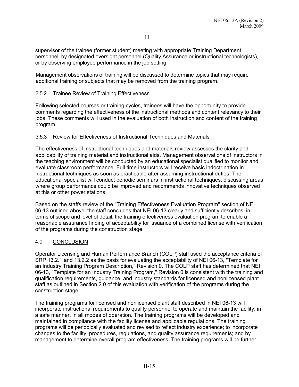supervisor of the trainee (former student) meeting with appropriate Training Department personnel, by designated oversight personnel (Quality Assurance or instructional technologists), or by observing employee performance in the job setting.

Management observations of training will be discussed to determine topics that may require additional training or subjects that may be removed from the training program.

## 3.5.2 Trainee Review of Training Effectiveness

Following selected courses or training cycles, trainees will have the opportunity to provide comments regarding the effectiveness of the instructional methods and content relevancy to their jobs. These comments will used in the evaluation of both instruction and content of the training program.

## 3.5.3 Review for Effectiveness of Instructional Techniques and Materials

The effectiveness of instructional techniques and materials review assesses the clarity and applicability of training material and instructional aids. Management observations of instructors in the teaching environment will be conducted by an educational specialist qualified to monitor and evaluate classroom performance. Full time instructors will receive basic indoctrination in instructional techniques as soon as practicable after assuming instructional duties. The educational specialist will conduct periodic seminars in instructional techniques, discussing areas where group performance could be improved and recommends innovative techniques observed at this or other power stations.

Based on the staffs review of the "Training Effectiveness Evaluation Program" section of NEI 06-13 outlined above, the staff concludes that NEI 06-13 clearly and sufficiently describes, in terms of scope and level of detail, the training effectiveness evaluation program to enable a reasonable assurance finding of acceptability for issuance of a combined license with verification of the programs during the construction stage.

## 4.0 CONCLUSION

Operator Licensing and Human Performance Branch (COLP) staff used the acceptance criteria of SRP 13.2.1 and 13.2.2 as the basis for evaluating the acceptability of NEI 06-13, "Template for an Industry Training Program Description," Revision 0. The COLP staff has determined that NEI 06-13, "Template for an Industry Training Program," Revision 0 is consistent with the training and qualification requirements, guidance, and industry standards for licensed and nonlicensed plant staff as outlined in Section 2.0 of this evaluation with verification of the programs during the construction stage.

The training programs for licensed and nonlicensed plant staff described in NEI 06-13 will incorporate instructional requirements to qualify personnel to operate and maintain the facility, in a safe manner, in all modes of operation. The training programs will be developed and maintained in compliance with the facility license and applicable regulations. The training programs will be periodically evaluated and revised to reflect industry experience; to incorporate changes to the facility, procedures, regulations, and quality assurance requirements; and by management to determine overall program effectiveness. The training programs will be further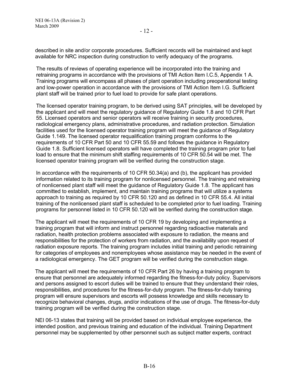described in site and/or corporate procedures. Sufficient records will be maintained and kept available for NRC inspection during construction to verify adequacy of the programs.

The results of reviews of operating experience will be incorporated into the training and retraining programs in accordance with the provisions of TMI Action Item I.C.5, Appendix 1 A. Training programs will encompass all phases of plant operation including preoperational testing and low-power operation in accordance with the provisions of TMI Action Item I.G. Sufficient plant staff will be trained prior to fuel load to provide for safe plant operations.

The licensed operator training program, to be derived using SAT principles, will be developed by the applicant and will meet the regulatory guidance of Regulatory Guide 1.8 and 10 CFR Part 55. Licensed operators and senior operators will receive training in security procedures, radiological emergency plans, administrative procedures, and radiation protection. Simulation facilities used for the licensed operator training program will meet the guidance of Regulatory Guide 1.149. The licensed operator requalification training program conforms to the requirements of 10 CFR Part 50 and 10 CFR 55.59 and follows the guidance in Regulatory Guide 1.8. Sufficient licensed operators will have completed the training program prior to fuel load to ensure that the minimum shift staffing requirements of 10 CFR 50.54 will be met. The licensed operator training program will be verified during the construction stage.

In accordance with the requirements of 10 CFR 50.34(a) and (b), the applicant has provided information related to its training program for nonlicensed personnel. The training and retraining of nonlicensed plant staff will meet the guidance of Regulatory Guide 1.8. The applicant has committed to establish, implement, and maintain training programs that will utilize a systems approach to training as required by 10 CFR 50.120 and as defined in 10 CFR 55.4. All initial training of the nonlicensed plant staff is scheduled to be completed prior to fuel loading. Training programs for personnel listed in 10 CFR 50.120 will be verified during the construction stage.

The applicant will meet the requirements of 10 CFR 19 by developing and implementing a training program that will inform and instruct personnel regarding radioactive materials and radiation, health protection problems associated with exposure to radiation, the means and responsibilities for the protection of workers from radiation, and the availability upon request of radiation exposure reports. The training program includes initial training and periodic retraining for categories of employees and nonemployees whose assistance may be needed in the event of a radiological emergency. The GET program will be verified during the construction stage.

The applicant will meet the requirements of 10 CFR Part 26 by having a training program to ensure that personnel are adequately informed regarding the fitness-for-duty policy. Supervisors and persons assigned to escort duties will be trained to ensure that they understand their roles, responsibilities, and procedures for the fitness-for-duty program. The fitness-for-duty training program will ensure supervisors and escorts will possess knowledge and skills necessary to recognize behavioral changes, drugs, and/or indications of the use of drugs. The fitness-for-duty training program will be verified during the construction stage.

NEI 06-13 states that training will be provided based on individual employee experience, the intended position, and previous training and education of the individual. Training Department personnel may be supplemented by other personnel such as subject matter experts, contract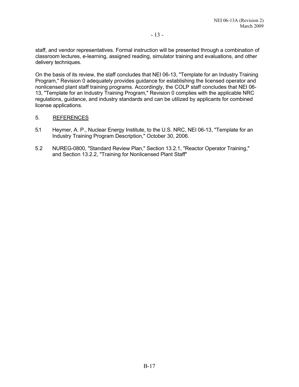staff, and vendor representatives. Formal instruction will be presented through a combination of classroom lectures, e-learning, assigned reading, simulator training and evaluations, and other delivery techniques.

On the basis of its review, the staff concludes that NEI 06-13, "Template for an Industry Training Program," Revision 0 adequately provides guidance for establishing the licensed operator and nonlicensed plant staff training programs. Accordingly, the COLP staff concludes that NEI 06- 13, "Template for an Industry Training Program," Revision 0 complies with the applicable NRC regulations, guidance, and industry standards and can be utilized by applicants for combined license applications.

#### 5. REFERENCES

- 5.1 Heymer, A. P., Nuclear Energy Institute, to the U.S. NRC, NEI 06-13, "Template for an Industry Training Program Description," October 30, 2006.
- 5.2 NUREG-0800, "Standard Review Plan," Section 13.2.1, "Reactor Operator Training," and Section 13.2.2, "Training for Nonlicensed Plant Staff"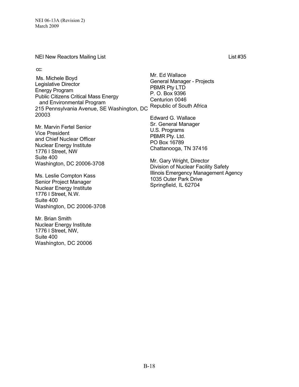NEI New Reactors Mailing List List #35

cc:

Ms. Michele Boyd Legislative Director Energy Program Public Citizens Critical Mass Energy and Environmental Program and Environmental Frogram<br>215 Pennsylvania Avenue, SE Washington, DC Republic of South Africa 20003

Mr. Marvin Fertel Senior Vice President and Chief Nuclear Officer Nuclear Energy Institute 1776 I Street, NW Suite 400 Washington, DC 20006-3708

Ms. Leslie Compton Kass Senior Project Manager Nuclear Energy Institute 1776 I Street, N.W. Suite 400 Washington, DC 20006-3708

Mr. Brian Smith Nuclear Energy Institute 1776 I Street, NW, Suite 400 Washington, DC 20006 Mr. Ed Wallace General Manager - Projects PBMR Pty LTD P. O. Box 9396 Centurion 0046

Edward G. Wallace Sr. General Manager U.S. Programs PBMR Pty. Ltd. PO Box 16789 Chattanooga, TN 37416

Mr. Gary Wright, Director Division of Nuclear Facility Safety Illinois Emergency Management Agency 1035 Outer Park Drive Springfield, IL 62704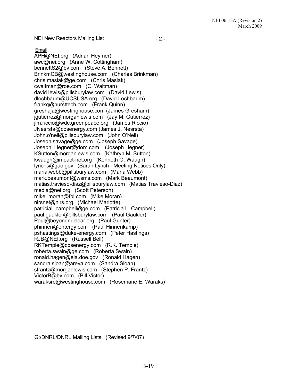NEI New Reactors Mailing List

 $-2 -$ 

Email

APH@NEI.org (Adrian Heymer) awc@nei.org (Anne W. Cottingham) bennettS2@bv.com (Steve A. Bennett) BrinkmCB@westinghouse.com (Charles Brinkman) chris.maslak@ge.com (Chris Maslak) cwaltman@roe.com (C. Waltman) david.lewis@pillsburyiaw.com (David Lewis) dlochbaum@UCSUSA.org (David Lochbaum) frankq@hursttech.com (Frank Quinn) greshaja@westinghouse.com (James Gresham) jgutierrez@morganiewis.com (Jay M. Gutierrez) jim.riccio@wdc.greenpeace.org (James Riccio) JNesrsta@cpsenergy.com (James J. Nesrsta) John.o'neil@pillsburylaw.com (John O'Neil) Joseph.savage@ge.com (Joseph Savage) Joseph\_Hegner@dom.com (Joseph Hegner) KSutton@morganlewis.com (Kathryn M. Sutton) kwaugh@impact-net.org (Kenneth O. Waugh) lynchs@gao.gov (Sarah Lynch - Meeting Notices Only) maria.webb@pillsburylaw.com (Maria Webb) mark.beaumont@wsms.com (Mark Beaumont) matias.travieso-diaz@pillsburylaw.com (Matias Travieso-Diaz) media@nei.org (Scott Peterson) mike\_moran@fpl.com (Mike Moran) nirsnet@nirs.org (Michael Mariotte) patriciaL.campbell@ge.com (Patricia L. Campbell) paul.gaukler@pillsburylaw.com (Paul Gaukler) Paul@beyondnuclear.org (Paul Gunter) phinnen@entergy.com (Paul Hinnenkamp) pshastings@duke-energy.com (Peter Hastings) RJB@NEI.org (Russell Bell) RKTemple@cpsenergy.com (R.K. Temple) roberta.swain@ge.com (Roberta Swain) ronald.hagen@eia.doe.gov (Ronald Hagen) sandra.sloan@areva.com (Sandra Sloan) sfrantz@morganlewis.com (Stephen P. Frantz) VictorB@bv.com (Bill Victor) waraksre@westinghouse.com (Rosemarie E. Waraks)

G:/DNRL/DNRL Mailing Lists (Revised 9/7/07)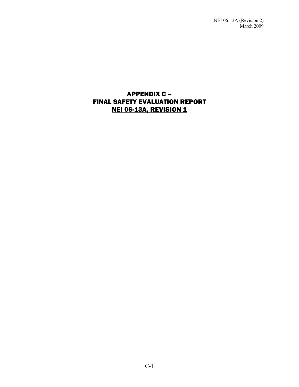NEI 06-13A (Revision 2) March 2009

## APPENDIX C – FINAL SAFETY EVALUATION REPORT NEI 06-13A, REVISION 1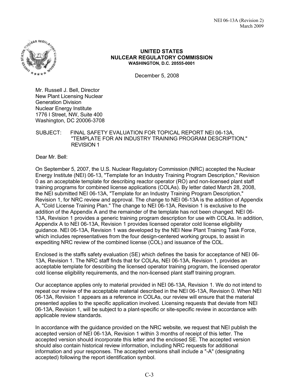

### **UNITED STATES NULCEAR REGULATORY COMMISSION WASHINGTON, D.C. 20555-0001**

December 5, 2008

Mr. Russell J. Bell, Director New Plant Licensing Nuclear Generation Division Nuclear Energy Institute 1776 I Street, NW, Suite 400 Washington, DC 20006-3708

### SUBJECT: FINAL SAFETY EVALUATION FOR TOPICAL REPORT NEI 06-13A, "TEMPLATE FOR AN INDUSTRY TRAINING PROGRAM DESCRIPTION," REVISION 1

Dear Mr. Bell:

On September 5, 2007, the U.S. Nuclear Regulatory Commission (NRC) accepted the Nuclear Energy Institute (NEI) 06-13, "Template for an Industry Training Program Description," Revision 0 as an acceptable template for describing reactor operator (RO) and non-licensed plant staff training programs for combined license applications (COLAs). By letter dated March 28, 2008, the NEI submitted NEI 06-13A, "Template for an Industry Training Program Description," Revision 1, for NRC review and approval. The change to NEI 06-13A is the addition of Appendix A, "Cold License Training Plan." The change to NEI 06-13A, Revision 1 is exclusive to the addition of the Appendix A and the remainder of the template has not been changed. NEI 06- 13A, Revision 1 provides a generic training program description for use with COLAs. In addition, Appendix A to NEI 06-13A, Revision 1 provides licensed operator cold license eligibility guidance. NEI 06-13A, Revision 1 was developed by the NEI New Plant Training Task Force, which includes representatives from the four design-centered working groups, to assist in expediting NRC review of the combined license (COL) and issuance of the COL.

Enclosed is the staffs safety evaluation (SE) which defines the basis for acceptance of NEI 06- 13A, Revision 1. The NRC staff finds that for COLAs, NEI 06-13A, Revision 1, provides an acceptable template for describing the licensed operator training program, the licensed operator cold license eligibility requirements, and the non-licensed plant staff training program.

Our acceptance applies only to material provided in NEI 06-13A, Revision 1. We do not intend to repeat our review of the acceptable material described in the NEI 06-13A, Revision 0. When NEI 06-13A, Revision 1 appears as a reference in COLAs, our review will ensure that the material presented applies to the specific application involved. Licensing requests that deviate from NEI 06-13A, Revision 1, will be subject to a plant-specific or site-specific review in accordance with applicable review standards.

In accordance with the guidance provided on the NRC website, we request that NEI publish the accepted version of NEI 06-13A, Revision 1 within 3 months of receipt of this letter. The accepted version should incorporate this letter and the enclosed SE. The accepted version should also contain historical review information, including NRC requests for additional information and your responses. The accepted versions shall include a "-A" (designating accepted) following the report identification symbol.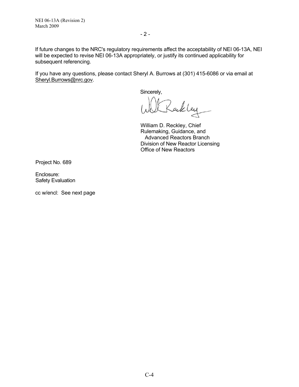If future changes to the NRC's regulatory requirements affect the acceptability of NEI 06-13A, NEI will be expected to revise NEI 06-13A appropriately, or justify its continued applicability for subsequent referencing.

If you have any questions, please contact Sheryl A. Burrows at (301) 415-6086 or via email at Sheryl.Burrows@nrc.gov.

Sincerely,

Rackley

William D. Reckley, Chief Rulemaking, Guidance, and Advanced Reactors Branch Division of New Reactor Licensing Office of New Reactors

Project No. 689

Enclosure: Safety Evaluation

cc w/encl: See next page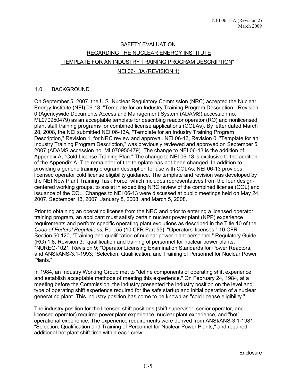# SAFETY EVALUATION REGARDING THE NUCLEAR ENERGY INSTITUTE "TEMPLATE FOR AN INDUSTRY TRAINING PROGRAM DESCRIPTION"

## NEI 06-13A (REVISION 1)

## 1.0 BACKGROUND

On September 5, 2007, the U.S. Nuclear Regulatory Commission (NRC) accepted the Nuclear Energy Institute (NEI) 06-13, "Template for an Industry Training Program Description," Revision 0 (Agencywide Documents Access and Management System (ADAMS) accession no. ML070950479) as an acceptable template for describing reactor operator (RO) and nonlicensed plant staff training programs for combined license applications (COLAs). By letter dated March 28, 2008, the NEI submitted NEI 06-13A, "Template for an Industry Training Program Description," Revision 1, for NRC review and approval. NEI 06-13, Revision 0, "Template for an Industry Training Program Description," was previously reviewed and approved on September 5, 2007 (ADAMS accession no. ML070950479). The change to NEI 06-13 is the addition of Appendix A, "Cold License Training Plan." The change to NEI 06-13 is exclusive to the addition of the Appendix A. The remainder of the template has not been changed. In addition to providing a generic training program description for use with COLAs, NEI 06-13 provides licensed operator cold license eligibility guidance. The template and revision was developed by the NEI New Plant Training Task Force, which includes representatives from the four designcentered working groups, to assist in expediting NRC review of the combined license (COL) and issuance of the COL. Changes to NEI 06-13 were discussed at public meetings held on May 24, 2007, September 13, 2007, January 8, 2008, and March 5, 2008.

Prior to obtaining an operating license from the NRC and prior to entering a licensed operator training program, an applicant must satisfy certain nuclear power plant (NPP) experience requirements and perform specific operating plant evolutions as described in the Title 10 of the *Code of Federal Regulations,* Part 55 (10 CFR Part 55); "Operators' licenses," 10 CFR Section 50.120; "Training and qualification of nuclear power plant personnel," Regulatory Guide (RG) 1.8, Revision 3; "qualification and training of personnel for nuclear power plants, "NUREG-1021, Revision 9; "Operator Licensing Examination Standards for Power Reactors," and ANSI/ANS-3.1-1993; "Selection, Qualification, and Training of Personnel for Nuclear Power Plants."

In 1984, an Industry Working Group met to "define components of operating shift experience and establish acceptable methods of meeting this experience." On February 24, 1984, at a meeting before the Commission, the industry presented the industry position on the level and type of operating shift experience required for the safe startup and initial operation of a nuclear generating plant. This industry position has come to be known as "cold license eligibility."

The industry position for the licensed shift positions (shift supervisor, senior operator, and licensed operator) required power plant experience, nuclear plant experience, and "hot" operational experience. The experience requirements were derived from ANSI/ANS-3.1-1981, "Selection, Qualification and Training of Personnel for Nuclear Power Plants," and required additional hot plant shift time within each crew.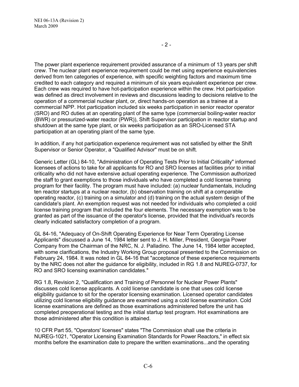The power plant experience requirement provided assurance of a minimum of 13 years per shift crew. The nuclear plant experience requirement could be met using experience equivalencies derived from ten categories of experience, with specific weighting factors and maximum time credited to each category and required a minimum of six years equivalent experience per crew. Each crew was required to have hot-participation experience within the crew. Hot participation was defined as direct involvement in reviews and discussions leading to decisions relative to the operation of a commercial nuclear plant, or, direct hands-on operation as a trainee at a commercial NPP. Hot participation included six weeks participation in senior reactor operator (SRO) and RO duties at an operating plant of the same type (commercial boiling-water reactor (BWR) or pressurized-water reactor (PWR)), Shift Supervisor participation in reactor startup and shutdown at the same type plant, or six weeks participation as an SRO-Licensed STA participation at an operating plant of the same type.

In addition, if any hot participation experience requirement was not satisfied by either the Shift Supervisor or Senior Operator, a "Qualified Advisor" must be on shift.

Generic Letter (GL) 84-10, "Administration of Operating Tests Prior to Initial Criticality" informed licensees of actions to take for all applicants for RO and SRO licenses at facilities prior to initial criticality who did not have extensive actual operating experience. The Commission authorized the staff to grant exemptions to those individuals who have completed a cold license training program for their facility. The program must have included: (a) nuclear fundamentals, including ten reactor startups at a nuclear reactor, (b) observation training on shift at a comparable operating reactor, (c) training on a simulator and (d) training on the actual system design of the candidate's plant. An exemption request was not needed for individuals who completed a cold license training program that included the four elements. The necessary exemption was to be granted as part of the issuance of the operator's license, provided that the individual's records clearly indicated satisfactory completion of a program.

GL 84-16, "Adequacy of On-Shift Operating Experience for Near Term Operating License Applicants" discussed a June 14, 1984 letter sent to J. H. Miller, President, Georgia Power Company from the Chairman of the NRC, N. J. Palladino. The June 14, 1984 letter accepted, with some clarifications, the Industry Working Group proposal presented to the Commission on February 24, 1984. It was noted in GL 84-16 that "acceptance of these experience requirements by the NRC does not alter the guidance for eligibility, included in RG 1.8 and NUREG-0737, for RO and SRO licensing examination candidates."

RG 1.8, Revision 2, "Qualification and Training of Personnel for Nuclear Power Plants" discusses cold license applicants. A cold license candidate is one that uses cold license eligibility guidance to sit for the operator licensing examination. Licensed operator candidates utilizing cold license eligibility guidance are examined using a cold license examination. Cold license examinations are defined as those examinations administered before the unit has completed preoperational testing and the initial startup test program. Hot examinations are those administered after this condition is attained.

10 CFR Part 55, "Operators' licenses" states "The Commission shall use the criteria in NUREG-1021, "Operator Licensing Examination Standards for Power Reactors," in effect six months before the examination date to prepare the written examinations...and the operating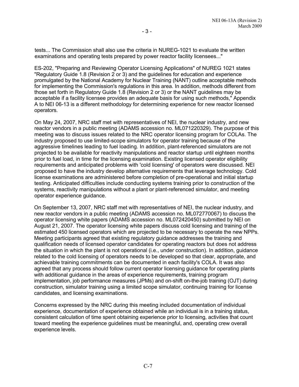tests... The Commission shall also use the criteria in NUREG-1021 to evaluate the written examinations and operating tests prepared by power reactor facility licensees..."

ES-202, "Preparing and Reviewing Operator Licensing Applications" of NUREG 1021 states "Regulatory Guide 1.8 (Revision 2 or 3) and the guidelines for education and experience promulgated by the National Academy for Nuclear Training (NANT) outline acceptable methods for implementing the Commission's regulations in this area. In addition, methods different from those set forth in Regulatory Guide 1.8 (Revision 2 or 3) or the NANT guidelines may be acceptable if a facility licensee provides an adequate basis for using such methods," Appendix A to NEI 06-13 is a different methodology for determining experience for new reactor licensed operators.

On May 24, 2007, NRC staff met with representatives of NEI, the nuclear industry, and new reactor vendors in a public meeting (ADAMS accession no. ML071220329). The purpose of this meeting was to discuss issues related to the NRC operator licensing program for COLAs. The industry proposed to use limited-scope simulators for operator training because of the aggressive timelines leading to fuel loading. In addition, plant-referenced simulators are not projected to be available for reactivity manipulations and reactor startup until eighteen months prior to fuel load, in time for the licensing examination. Existing licensed operator eligibility requirements and anticipated problems with 'cold licensing' of operators were discussed. NEI proposed to have the industry develop alternative requirements that leverage technology. Cold license examinations are administered before completion of pre-operational and initial startup testing. Anticipated difficulties include conducting systems training prior to construction of the systems, reactivity manipulations without a plant or plant-referenced simulator, and meeting operator experience guidance.

On September 13, 2007, NRC staff met with representatives of NEI, the nuclear industry, and new reactor vendors in a public meeting (ADAMS accession no. ML072770067) to discuss the operator licensing white papers (ADAMS accession no. ML072420450) submitted by NEI on August 21, 2007. The operator licensing white papers discuss cold licensing and training of the estimated 450 licensed operators which are projected to be necessary to operate the new NPPs. Meeting participants agreed that existing regulatory guidance addresses the training and qualification needs of licensed operator candidates for operating reactors but does not address the situation in which the plant is not operational (i.e., under construction). In addition, guidance related to the cold licensing of operators needs to be developed so that clear, appropriate, and achievable training commitments can be documented in each facility's COLA. It was also agreed that any process should follow current operator licensing guidance for operating plants with additional guidance in the areas of experience requirements, training program implementation, job performance measures (JPMs) and on-shift on-the-job training (OJT) during construction, simulator training using a limited scope simulator, continuing training for license candidates, and licensing examinations.

Concerns expressed by the NRC during this meeting included documentation of individual experience, documentation of experience obtained while an individual is in a training status, consistent calculation of time spent obtaining experience prior to licensing, activities that count toward meeting the experience guidelines must be meaningful, and, operating crew overall experience levels.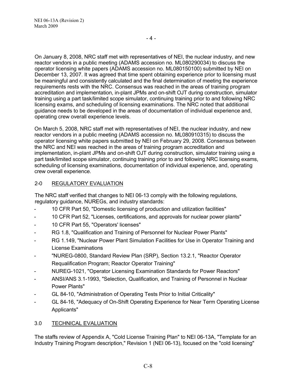- 4 -

On January 8, 2008, NRC staff met with representatives of NEI, the nuclear industry, and new reactor vendors in a public meeting (ADAMS accession no. ML080290034) to discuss the operator licensing white papers (ADAMS accession no. ML080150100) submitted by NEI on December 13, 2007. It was agreed that time spent obtaining experience prior to licensing must be meaningful and consistently calculated and the final determination of meeting the experience requirements rests with the NRC. Consensus was reached in the areas of training program accreditation and implementation, in-plant JPMs and on-shift OJT during construction, simulator training using a part task/limited scope simulator, continuing training prior to and following NRC licensing exams, and scheduling of licensing examinations. The NRC noted that additional guidance needs to be developed in the areas of documentation of individual experience and, operating crew overall experience levels.

On March 5, 2008, NRC staff met with representatives of NEI, the nuclear industry, and new reactor vendors in a public meeting (ADAMS accession no. ML080910315) to discuss the operator licensing white papers submitted by NEI on February 29, 2008. Consensus between the NRC and NEI was reached in the areas of training program accreditation and implementation, in-plant JPMs and on-shift OJT during construction, simulator training using a part task/limited scope simulator, continuing training prior to and following NRC licensing exams, scheduling of licensing examinations, documentation of individual experience, and, operating crew overall experience.

## 2-0 REGULATORY EVALUATION

The NRC staff verified that changes to NEI 06-13 comply with the following regulations, regulatory guidance, NUREGs, and industry standards:

- 10 CFR Part 50, "Domestic licensing of production and utilization facilities"
- 10 CFR Part 52, "Licenses, certifications, and approvals for nuclear power plants"
- 10 CFR Part 55, "Operators' licenses"
- RG 1.8, "Qualification and Training of Personnel for Nuclear Power Plants"
- RG 1.149, "Nuclear Power Plant Simulation Facilities for Use in Operator Training and License Examinations
- "NUREG-0800, Standard Review Plan (SRP), Section 13.2.1, "Reactor Operator Requalification Program; Reactor Operator Training"
- NUREG-1021, "Operator Licensing Examination Standards for Power Reactors"
- ANSI/ANS 3.1-1993, "Selection, Qualification, and Training of Personnel in Nuclear Power Plants"
- GL 84-10, "Administration of Operating Tests Prior to Initial Criticality"
- GL 84-16, "Adequacy of On-Shift Operating Experience for Near Term Operating License Applicants"

## 3.0 TECHNICAL EVALUATION

The staffs review of Appendix A, "Cold License Training Plan" to NEI 06-13A, "Template for an Industry Training Program description," Revision 1 (NEI 06-13), focused on the "cold licensing"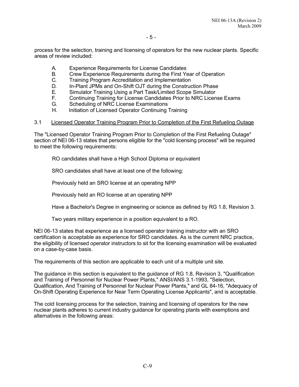process for the selection, training and licensing of operators for the new nuclear plants. Specific areas of review included:

- A. Experience Requirements for License Candidates
- B. Crew Experience Requirements during the First Year of Operation
- C. Training Program Accreditation and Implementation
- D. In-Plant JPMs and On-Shift OJT during the Construction Phase
- E. Simulator Training Using a Part Task/Limited Scope Simulator
- F. Continuing Training for License Candidates Prior to NRC License Exams
- G. Scheduling of NRC License Examinations
- H. Initiation of Licensed Operator Continuing Training

#### 3.1 Licensed Operator Training Program Prior to Completion of the First Refueling Outage

The "Licensed Operator Training Program Prior to Completion of the First Refueling Outage" section of NEI 06-13 states that persons eligible for the "cold licensing process" will be required to meet the following requirements:

RO candidates shall have a High School Diploma or equivalent

SRO candidates shall have at least one of the following:

Previously held an SRO license at an operating NPP

Previously held an RO license at an operating NPP

Have a Bachelor's Degree in engineering or science as defined by RG 1.8, Revision 3.

Two years military experience in a position equivalent to a RO.

NEI 06-13 states that experience as a licensed operator training instructor with an SRO certification is acceptable as experience for SRO candidates. As is the current NRC practice, the eligibility of licensed operator instructors to sit for the licensing examination will be evaluated on a case-by-case basis.

The requirements of this section are applicable to each unit of a multiple unit site.

The guidance in this section is equivalent to the guidance of RG 1.8, Revision 3, "Qualification and Training of Personnel for Nuclear Power Plants," ANSI/ANS 3.1-1993, "Selection, Qualification, And Training of Personnel for Nuclear Power Plants," and GL 84-16, "Adequacy of On-Shift Operating Experience for Near Term Operating License Applicants", and is acceptable.

The cold licensing process for the selection, training and licensing of operators for the new nuclear plants adheres to current industry guidance for operating plants with exemptions and alternatives in the following areas: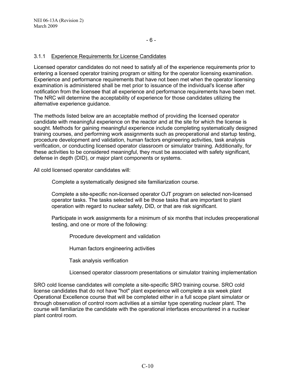## 3.1.1 Experience Requirements for License Candidates

Licensed operator candidates do not need to satisfy all of the experience requirements prior to entering a licensed operator training program or sitting for the operator licensing examination. Experience and performance requirements that have not been met when the operator licensing examination is administered shall be met prior to issuance of the individual's license after notification from the licensee that all experience and performance requirements have been met. The NRC will determine the acceptability of experience for those candidates utilizing the alternative experience guidance.

The methods listed below are an acceptable method of providing the licensed operator candidate with meaningful experience on the reactor and at the site for which the license is sought. Methods for gaining meaningful experience include completing systematically designed training courses, and performing work assignments such as preoperational and startup testing, procedure development and validation, human factors engineering activities, task analysis verification, or conducting licensed operator classroom or simulator training. Additionally, for these activities to be considered meaningful, they must be associated with safety significant, defense in depth (DID), or major plant components or systems.

All cold licensed operator candidates will:

Complete a systematically designed site familiarization course.

Complete a site-specific non-licensed operator OJT program on selected non-licensed operator tasks. The tasks selected will be those tasks that are important to plant operation with regard to nuclear safety, DID, or that are risk significant.

Participate in work assignments for a minimum of six months that includes preoperational testing, and one or more of the following:

Procedure development and validation

Human factors engineering activities

Task analysis verification

Licensed operator classroom presentations or simulator training implementation

SRO cold license candidates will complete a site-specific SRO training course. SRO cold license candidates that do not have "hot" plant experience will complete a six week plant Operational Excellence course that will be completed either in a full scope plant simulator or through observation of control room activities at a similar type operating nuclear plant. The course will familiarize the candidate with the operational interfaces encountered in a nuclear plant control room.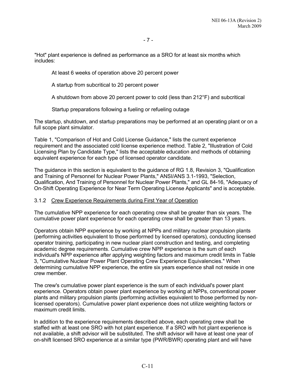"Hot" plant experience is defined as performance as a SRO for at least six months which includes:

At least 6 weeks of operation above 20 percent power

A startup from subcritical to 20 percent power

A shutdown from above 20 percent power to cold (less than 212°F) and subcritical

Startup preparations following a fueling or refueling outage

The startup, shutdown, and startup preparations may be performed at an operating plant or on a full scope plant simulator.

Table 1, "Comparison of Hot and Cold License Guidance," lists the current experience requirement and the associated cold license experience method. Table 2, "Illustration of Cold Licensing Plan by Candidate Type," lists the acceptable education and methods of obtaining equivalent experience for each type of licensed operator candidate.

The guidance in this section is equivalent to the guidance of RG 1.8, Revision 3, "Qualification and Training of Personnel for Nuclear Power Plants," ANSI/ANS 3.1-1993, "Selection, Qualification, And Training of Personnel for Nuclear Power Plants," and GL 84-16, "Adequacy of On-Shift Operating Experience for Near Term Operating License Applicants" and is acceptable.

## 3.1.2 Crew Experience Requirements during First Year of Operation

The cumulative NPP experience for each operating crew shall be greater than six years. The cumulative power plant experience for each operating crew shall be greater than 13 years.

Operators obtain NPP experience by working at NPPs and military nuclear propulsion plants (performing activities equivalent to those performed by licensed operators), conducting licensed operator training, participating in new nuclear plant construction and testing, and completing academic degree requirements. Cumulative crew NPP experience is the sum of each individual's NPP experience after applying weighting factors and maximum credit limits in Table 3, "Cumulative Nuclear Power Plant Operating Crew Experience Equivalencies." When determining cumulative NPP experience, the entire six years experience shall not reside in one crew member.

The crew's cumulative power plant experience is the sum of each individual's power plant experience. Operators obtain power plant experience by working at NPPs, conventional power plants and military propulsion plants (performing activities equivalent to those performed by nonlicensed operators). Cumulative power plant experience does not utilize weighting factors or maximum credit limits.

In addition to the experience requirements described above, each operating crew shall be staffed with at least one SRO with hot plant experience. If a SRO with hot plant experience is not available, a shift advisor will be substituted. The shift advisor will have at least one year of on-shift licensed SRO experience at a similar type (PWR/BWR) operating plant and will have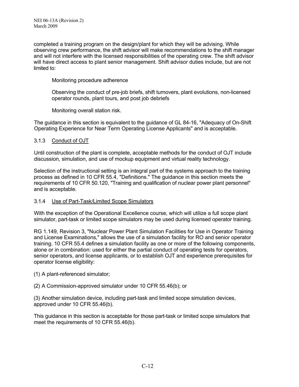completed a training program on the design/plant for which they will be advising. While observing crew performance, the shift advisor will make recommendations to the shift manager and will not interfere with the licensed responsibilities of the operating crew. The shift advisor will have direct access to plant senior management. Shift advisor duties include, but are not limited to:

Monitoring procedure adherence

Observing the conduct of pre-job briefs, shift turnovers, plant evolutions, non-licensed operator rounds, plant tours, and post job debriefs

Monitoring overall station risk.

The guidance in this section is equivalent to the guidance of GL 84-16, "Adequacy of On-Shift Operating Experience for Near Term Operating License Applicants" and is acceptable.

## 3.1.3 Conduct of OJT

Until construction of the plant is complete, acceptable methods for the conduct of OJT include discussion, simulation, and use of mockup equipment and virtual reality technology.

Selection of the instructional setting is an integral part of the systems approach to the training process as defined in 10 CFR 55.4, "Definitions." The guidance in this section meets the requirements of 10 CFR 50.120, "Training and qualification of nuclear power plant personnel" and is acceptable.

## 3.1.4 Use of Part-Task/Limited Scope Simulators

With the exception of the Operational Excellence course, which will utilize a full scope plant simulator, part-task or limited scope simulators may be used during licensed operator training.

RG 1.149, Revision 3, "Nuclear Power Plant Simulation Facilities for Use in Operator Training and License Examinations," allows the use of a simulation facility for RO and senior operator training. 10 CFR 55.4 defines a simulation facility as one or more of the following components, alone or in combination: used for either the partial conduct of operating tests for operators, senior operators, and license applicants, or to establish OJT and experience prerequisites for operator license eligibility:

(1) A plant-referenced simulator;

(2) A Commission-approved simulator under 10 CFR 55.46(b); or

(3) Another simulation device, including part-task and limited scope simulation devices, approved under 10 CFR 55.46(b).

This guidance in this section is acceptable for those part-task or limited scope simulators that meet the requirements of 10 CFR 55.46(b).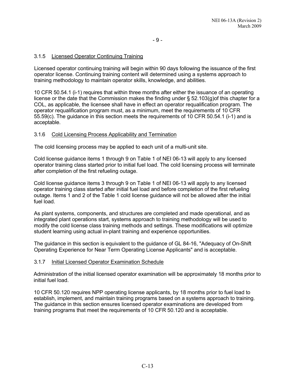## 3.1.5 Licensed Operator Continuing Training

Licensed operator continuing training will begin within 90 days following the issuance of the first operator license. Continuing training content will determined using a systems approach to training methodology to maintain operator skills, knowledge, and abilities.

10 CFR 50.54.1 (i-1) requires that within three months after either the issuance of an operating license or the date that the Commission makes the finding under § 52.103(g)of this chapter for a COL, as applicable, the licensee shall have in effect an operator requalification program. The operator requalification program must, as a minimum, meet the requirements of 10 CFR 55.59(c). The guidance in this section meets the requirements of 10 CFR 50.54.1 (i-1) and is acceptable.

## 3.1.6 Cold Licensing Process Applicability and Termination

The cold licensing process may be applied to each unit of a multi-unit site.

Cold license guidance items 1 through 9 on Table 1 of NEI 06-13 will apply to any licensed operator training class started prior to initial fuel load. The cold licensing process will terminate after completion of the first refueling outage.

Cold license guidance items 3 through 9 on Table 1 of NEI 06-13 will apply to any licensed operator training class started after initial fuel load and before completion of the first refueling outage. Items 1 and 2 of the Table 1 cold license guidance will not be allowed after the initial fuel load.

As plant systems, components, and structures are completed and made operational, and as integrated plant operations start, systems approach to training methodology will be used to modify the cold license class training methods and settings. These modifications will optimize student learning using actual in-plant training and experience opportunities.

The guidance in this section is equivalent to the guidance of GL 84-16, "Adequacy of On-Shift Operating Experience for Near Term Operating License Applicants" and is acceptable.

## 3.1.7 Initial Licensed Operator Examination Schedule

Administration of the initial licensed operator examination will be approximately 18 months prior to initial fuel load.

10 CFR 50.120 requires NPP operating license applicants, by 18 months prior to fuel load to establish, implement, and maintain training programs based on a systems approach to training. The guidance in this section ensures licensed operator examinations are developed from training programs that meet the requirements of 10 CFR 50.120 and is acceptable.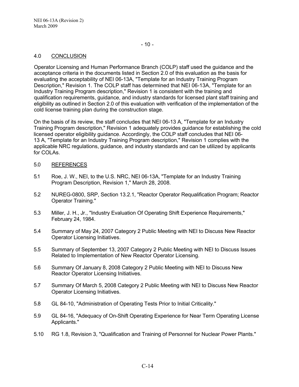## 4.0 CONCLUSION

Operator Licensing and Human Performance Branch (COLP) staff used the guidance and the acceptance criteria in the documents listed in Section 2.0 of this evaluation as the basis for evaluating the acceptability of NEI 06-13A, "Template for an Industry Training Program Description," Revision 1. The COLP staff has determined that NEI 06-13A, "Template for an Industry Training Program description," Revision 1 is consistent with the training and qualification requirements, guidance, and industry standards for licensed plant staff training and eligibility as outlined in Section 2.0 of this evaluation with verification of the implementation of the cold license training plan during the construction stage.

On the basis of its review, the staff concludes that NEI 06-13 A, "Template for an Industry Training Program description," Revision 1 adequately provides guidance for establishing the cold licensed operator eligibility guidance. Accordingly, the COLP staff concludes that NEI 06- 13 A, "Template for an Industry Training Program description," Revision 1 complies with the applicable NRC regulations, guidance, and industry standards and can be utilized by applicants for COLAs.

#### 5.0 REFERENCES

- 5.1 Roe, J. W., NEI, to the U.S. NRC, NEI 06-13A, "Template for an Industry Training Program Description, Revision 1," March 28, 2008.
- 5.2 NUREG-0800, SRP, Section 13.2.1, "Reactor Operator Requalification Program; Reactor Operator Training."
- 5.3 Miller, J. H., Jr., "Industry Evaluation Of Operating Shift Experience Requirements," February 24, 1984.
- 5.4 Summary of May 24, 2007 Category 2 Public Meeting with NEI to Discuss New Reactor Operator Licensing Initiatives.
- 5.5 Summary of September 13, 2007 Category 2 Public Meeting with NEI to Discuss Issues Related to Implementation of New Reactor Operator Licensing.
- 5.6 Summary Of January 8, 2008 Category 2 Public Meeting with NEI to Discuss New Reactor Operator Licensing Initiatives.
- 5.7 Summary Of March 5, 2008 Category 2 Public Meeting with NEI to Discuss New Reactor Operator Licensing Initiatives.
- 5.8 GL 84-10, "Administration of Operating Tests Prior to Initial Criticality."
- 5.9 GL 84-16, "Adequacy of On-Shift Operating Experience for Near Term Operating License Applicants."
- 5.10 RG 1.8, Revision 3, "Qualification and Training of Personnel for Nuclear Power Plants."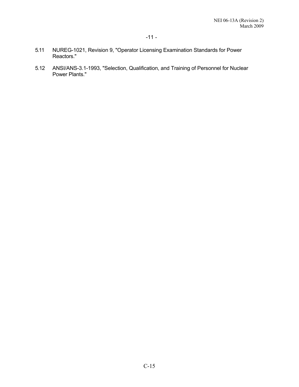- 5.11 NUREG-1021, Revision 9, "Operator Licensing Examination Standards for Power Reactors."
- 5.12 ANSI/ANS-3.1-1993, "Selection, Qualification, and Training of Personnel for Nuclear Power Plants."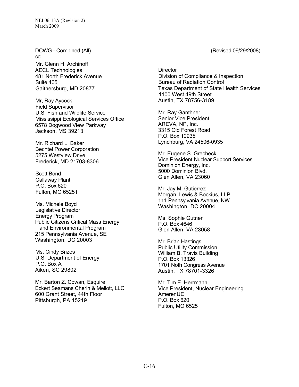DCWG - Combined (All) (Revised 09/29/2008) cc: Mr. Glenn H. Archinoff AECL Technologies 481 North Frederick Avenue Suite 405 Gaithersburg, MD 20877

Mr, Ray Aycock Field Supervisor U.S. Fish and Wildlife Service Mississippi Ecological Services Office 6578 Dogwood View Parkway Jackson, MS 39213

Mr. Richard L. Baker Bechtel Power Corporation 5275 Westview Drive Frederick, MD 21703-8306

Scott Bond Callaway Plant P.O. Box 620 Fulton, MO 65251

Ms. Michele Boyd Legislative Director Energy Program Public Citizens Critical Mass Energy and Environmental Program 215 Pennsylvania Avenue, SE Washington, DC 20003

Ms. Cindy Brizes U.S. Department of Energy P.O. Box A Aiken, SC 29802

Mr. Barton Z. Cowan, Esquire Eckert Seamans Cherin & Mellott, LLC 600 Grant Street, 44th Floor Pittsburgh, PA 15219

**Director** Division of Compliance & Inspection Bureau of Radiation Control Texas Department of State Health Services 1100 West 49th Street Austin, TX 78756-3189

Mr. Ray Ganthner Senior Vice President AREVA, NP, Inc. 3315 Old Forest Road P.O. Box 10935 Lynchburg, VA 24506-0935

Mr. Eugene S. Grecheck Vice President Nuclear Support Services Dominion Energy, Inc. 5000 Dominion Blvd. Glen Allen, VA 23060

Mr. Jay M. Gutierrez Morgan, Lewis & Bockius, LLP 111 Pennsylvania Avenue, NW Washington, DC 20004

Ms. Sophie Gutner P.O. Box 4646 Glen Allen, VA 23058

Mr. Brian Hastings Public Utility Commission William B. Travis Building P.O. Box 13326 1701 Noth Congress Avenue Austin, TX 78701-3326

Mr. Tim E. Herrmann Vice President, Nuclear Engineering AmerenUE P.O. Box 620 Fulton, MO 6525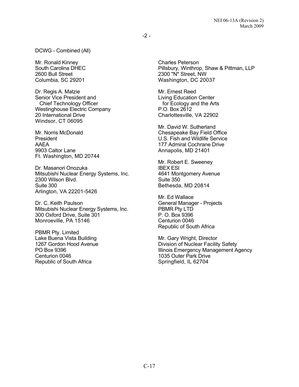DCWG - Combined (All)

Mr. Ronald Kinney South Carolina DHEC 2600 Bull Street Columbia, SC 29201

Dr. Regis A. Matzie Senior Vice President and Chief Technology Officer Westinghouse Electric Company 20 International Drive Windsor, CT 06095

Mr. Norris McDonald President AAEA 9903 Caltor Lane Ft. Washington, MD 20744

Dr. Masanori Onozuka Mitsubishi Nuclear Energy Systems, Inc. 2300 Wilson Blvd. Suite 300 Arlington, VA 22201-5426

Dr. C. Keith Paulson Mitsubishi Nuclear Energy Systems, Inc. 300 Oxford Drive, Suite 301 Monroeville, PA 15146

PBMR Pty. Limited Lake Buena Vista Building 1267 Gordon Hood Avenue PO Box 9396 Centurion 0046 Republic of South Africa

Charles Peterson Pillsbury, Winthrop, Shaw & Pittman, LLP 2300 "N" Street, NW Washington, DC 20037

Mr. Ernest Reed Living Education Center for Ecology and the Arts P.O. Box 2612 Charlottesville, VA 22902

Mr. David W. Sutherland Chesapeake Bay Field Office U.S. Fish and Wildlife Service 177 Admiral Cochrane Drive Annapolis, MD 21401

Mr. Robert E. Sweeney IBEX ESI 4641 Montgomery Avenue Suite 350 Bethesda, MD 20814

Mr. Ed Wallace General Manager - Projects PBMR Pty LTD P. O. Box 9396 Centurion 0046 Republic of South Africa

Mr. Gary Wright, Director Division of Nuclear Facility Safety Illinois Emergency Management Agency 1035 Outer Park Drive Springfield, IL 62704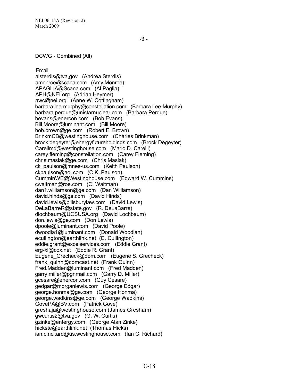DCWG - Combined (All)

Email alsterdis@tva,gov (Andrea Sterdis) amonroe@scana.com (Amy Monroe) APAGLIA@Scana.com (Al Paglia) APH@NEI.org (Adrian Heymer) awc@nei.org (Anne W. Cottingham) barbara.lee-murphy@constellation.com (Barbara Lee-Murphy) barbara.perdue@unistarnuclear.com (Barbara Perdue) bevans@enercon.com (Bob Evans) Bill.Moore@luminant.com (Bill Moore) bob.brown@ge.com (Robert E. Brown) BrinkmCB@westinghouse.com (Charles Brinkman) brock.degeyter@energyfutureholdings.com (Brock Degeyter) Carellmd@westinghouse.com (Mario D. Carelli) carey.fleming@constellation.com (Carey Fleming) chris.maslak@ge.com (Chris Maslak) ck\_paulson@mnes-us.com (Keith Paulson) ckpaulson@aol.com (C.K. Paulson) CumminWE@Westinghouse.com (Edward W. Cummins) cwaltman@roe.com (C. Waltman) dan1.williamson@ge.com (Dan Williamson) david.hinds@ge.com (David Hinds) david.lewis@pillsburylaw.com (David Lewis) DeLaBarreR@state.gov (R. DeLaBarre) dlochbaum@UCSUSA.org (David Lochbaum) don.lewis@ge.com (Don Lewis) dpoole@luminant.com (David Poole) dwoodla1@luminant.com (Donald Woodlan) ecullington@earthlink.net (E. Cullington) eddie.grant@excelservices.com (Eddie Grant) erg-xl@cox.net (Eddie R. Grant) Eugene\_Grecheck@dom.com (Eugene S. Grecheck) frank\_quinn@comcast.net (Frank Quinn) Fred.Madden@luminant.com (Fred Madden) garry.miller@pgnmail.com (Garry D. Miller) gcesare@enercon.com (Guy Cesare) gedgar@morganlewis.com (George Edgar) george.honma@ge.com (George Honma) george.wadkins@ge.com (George Wadkins) GovePA@BV.com (Patrick Gove) greshaja@westinghouse.com (James Gresham) gwcurtis2@tva.gov (G. W. Curtis) gzinke@entergy.com (George Alan Zinke) hickste@earthlink.net (Thomas Hicks) ian.c.rickard@us.westinghouse.com (Ian C. Richard)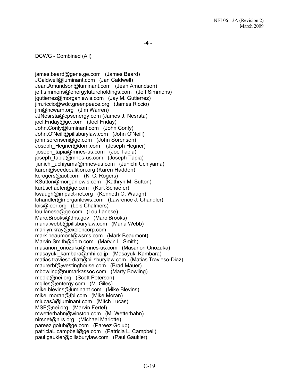DCWG - Combined (All)

james.beard@gene.ge.com (James Beard) JCaldwell@luminant.com (Jan Caldwell) Jean.Amundson@luminant.com (Jean Amundson) jeff.simmons@energyfutureholdings.com (Jeff Simmons) jgutierrez@morganlewis.com (Jay M. Gutierrez) jim.riccio@wdc.greenpeace.org (James Riccio) jim@ncwarn.org (Jim Warren) JJNesrsta@cpsenergy.com (James J. Nesrsta) joel.Friday@ge.com (Joel Friday) John.Conly@luminant.com (John Conly) John.O'Neill@pillsburylaw.com (John O'Neill) john.sorensen@ge.com (John Sorensen) Joseph\_Hegner@dom.com (Joseph Hegner) joseph\_tapia@mnes-us.com (Joe Tapia) joseph\_tapia@mnes-us.com (Joseph Tapia) junichi uchiyama@mnes-us.com (Junichi Uchiyama) karen@seedcoalition.org (Karen Hadden) kcrogers@aol.com (K. C. Rogers) KSutton@morganlewis.com (Kathryn M. Sutton) kurt.schaefer@ge.com (Kurt Schaefer) kwaugh@impact-net.org (Kenneth O. Waugh) lchandler@morganlewis.com (Lawrence J. Chandler) lois@ieer.org (Lois Chalmers) lou.lanese@ge.com (Lou Lanese) Marc.Brooks@dhs.gov (Marc Brooks) maria.webb@pillsburylaw.com (Maria Webb) marilyn.kray@exeloncorp.com mark.beaumont@wsms.com (Mark Beaumont) Marvin.Smith@dom.com (Marvin L. Smith) masanori onozuka@mnes-us.com (Masanori Onozuka) masayuki\_kambara@mhi.co.jp (Masayuki Kambara) matias.travieso-diaz@pillsburylaw.com (Matias Travieso-Diaz) maurerbf@westinghouse.com (Brad Mauer) mbowling@numarkassoc.com (Marty Bowling) media@nei.org (Scott Peterson) mgiles@entergy.com (M. Giles) mike.blevins@luminant.com (Mike Blevins) mike\_moran@fpl.com (Mike Moran) mlucas3@luminant.com (Mitch Lucas) MSF@nei.org (Marvin Fertel) mwetterhahn@winston.com (M. Wetterhahn) nirsnet@nirs.org (Michael Mariotte) pareez.golub@ge.com (Pareez Golub) patriciaL.campbell@ge.com (Patricia L. Campbell) paul.gaukler@pillsburylaw.com (Paul Gaukler)